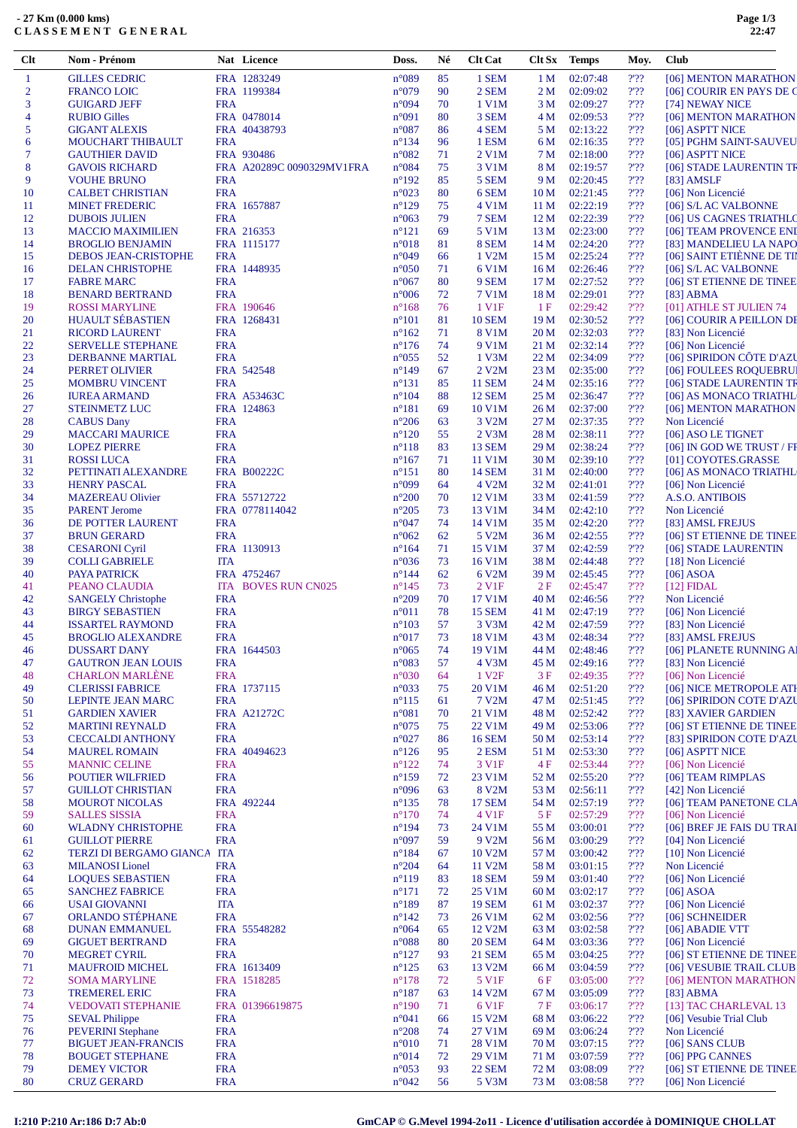| <b>GILLES CEDRIC</b><br>FRA 1283249<br>$n^{\circ}089$<br>85<br>1 SEM<br>02:07:48<br>$2'$ ?<br>1 <sub>M</sub><br>[06] MENTON MARATHON<br>1<br>$\overline{2}$<br>FRA 1199384<br>$n^{\circ}079$<br>90<br>2 SEM<br>02:09:02<br>2'22<br><b>FRANCO LOIC</b><br>2 M<br>2'22<br>n°094<br>70<br>1 V1M<br>02:09:27<br>3<br><b>GUIGARD JEFF</b><br><b>FRA</b><br>3 M<br>[74] NEWAY NICE<br>FRA 0478014<br>80<br>3 SEM<br>02:09:53<br>?'??<br><b>RUBIO Gilles</b><br>$n^{\circ}091$<br>4 M<br>[06] MENTON MARATHON<br>4<br>5<br>$n^{\circ}087$<br>86<br>2'22<br><b>GIGANT ALEXIS</b><br>FRA 40438793<br>4 SEM<br>5 M<br>02:13:22<br>[06] ASPTT NICE<br>2.32<br>96<br>MOUCHART THIBAULT<br><b>FRA</b><br>$n^{\circ}134$<br>1 ESM<br>02:16:35<br>6<br>6 M<br>FRA 930486<br>$n^{\circ}082$<br>2'22<br>7<br><b>GAUTHIER DAVID</b><br>71<br>2 V1M<br>7 M<br>02:18:00<br>[06] ASPTT NICE<br>75<br>2'22<br>8<br>FRA A20289C 0090329MV1FRA<br>$n^{\circ}084$<br>3 V1M<br>02:19:57<br><b>GAVOIS RICHARD</b><br>8 M<br>2.32<br>$n^{\circ}192$<br>85<br>9<br><b>VOUHE BRUNO</b><br><b>FRA</b><br>5 SEM<br>9 M<br>02:20:45<br>[83] AMSLF<br><b>FRA</b><br>$n^{\circ}023$<br>80<br>02:21:45<br>2'22<br><b>CALBET CHRISTIAN</b><br>6 SEM<br>10 <sub>M</sub><br>[06] Non Licencié<br>10<br>2.32<br>FRA 1657887<br>$n^{\circ}129$<br>75<br>4 V1M<br>02:22:19<br><b>MINET FREDERIC</b><br>11 M<br>[06] S/L AC VALBONNE<br>11<br>79<br>02:22:39<br>$2'$ ?<br><b>FRA</b><br>$n^{\circ}063$<br>7 SEM<br>12<br><b>DUBOIS JULIEN</b><br>12 M<br>[06] US CAGNES TRIATHLO<br>FRA 216353<br>69<br>?'??<br>13<br>$n^{\circ}121$<br>5 V1M<br>13 M<br>02:23:00<br>[06] TEAM PROVENCE ENI<br><b>MACCIO MAXIMILIEN</b><br>$n^{\circ}018$<br>8 SEM<br>02:24:20<br>?'??<br>[83] MANDELIEU LA NAPO<br><b>BROGLIO BENJAMIN</b><br>FRA 1115177<br>81<br>14 M<br>14<br>2'22<br>[06] SAINT ETIÈNNE DE TI<br>n°049<br>66<br>1 V2M<br>02:25:24<br><b>DEBOS JEAN-CRISTOPHE</b><br><b>FRA</b><br>15 M<br>15<br>02:26:46<br>?'??<br><b>DELAN CHRISTOPHE</b><br>FRA 1448935<br>$n^{\circ}050$<br>71<br>6 V1M<br>16 M<br>[06] S/L AC VALBONNE<br>16<br><b>FRA</b><br>80<br>02:27:52<br>2'22<br><b>FABRE MARC</b><br>$n^{\circ}067$<br>9 SEM<br>17 M<br>[06] ST ETIENNE DE TINEE<br>17<br>2.32<br><b>FRA</b><br>72<br>02:29:01<br><b>BENARD BERTRAND</b><br>$n^{\circ}006$<br>7 V1M<br>18 M<br>18<br>$[83]$ ABMA<br>FRA 190646<br>76<br>2'22<br><b>ROSSI MARYLINE</b><br>$n^{\circ}168$<br>1 V <sub>1</sub> F<br>1F<br>02:29:42<br>[01] ATHLE ST JULIEN 74<br>19<br><b>HUAULT SÉBASTIEN</b><br>$n^{\circ}101$<br>81<br>02:30:52<br>2'22<br>20<br>FRA 1268431<br><b>10 SEM</b><br>19 M<br>2.32<br><b>FRA</b><br>$n^{\circ}162$<br>02:32:03<br>21<br><b>RICORD LAURENT</b><br>71<br>8 V1M<br>20 M<br>[83] Non Licencié<br>2'22<br><b>FRA</b><br>74<br>9 V1M<br>02:32:14<br>[06] Non Licencié<br>22<br><b>SERVELLE STEPHANE</b><br>$n^{\circ}176$<br>21 M<br>[06] SPIRIDON CÔTE D'AZU<br><b>FRA</b><br>$n^{\circ}055$<br>52<br>1 V3M<br>02:34:09<br>?'??<br>23<br>22 M<br>DERBANNE MARTIAL<br>$\mathcal{V}\mathcal{V} \mathcal{V}$<br>02:35:00<br>FRA 542548<br>$n^{\circ}149$<br>67<br>2 V2M<br>23 M<br>[06] FOULEES ROQUEBRUI<br>24<br>PERRET OLIVIER<br><b>FRA</b><br>85<br><b>11 SEM</b><br>?'??<br>25<br><b>MOMBRU VINCENT</b><br>$n^{\circ}131$<br>24 M<br>02:35:16<br>[06] STADE LAURENTIN TR<br>FRA A53463C<br>$n^{\circ}104$<br>88<br>2'22<br>26<br><b>IUREA ARMAND</b><br><b>12 SEM</b><br>25 M<br>02:36:47<br>FRA 124863<br>$n^{\circ}181$<br>69<br>10 V1M<br>02:37:00<br>2'22<br>27<br><b>STEINMETZ LUC</b><br>26 M<br>$n^{\circ}206$<br>02:37:35<br>?'??<br>28<br><b>CABUS Dany</b><br><b>FRA</b><br>63<br>3 V2M<br>27 M<br>Non Licencié<br><b>FRA</b><br>$n^{\circ}120$<br>55<br>2 V3M<br>02:38:11<br>2'22<br>29<br><b>MACCARI MAURICE</b><br>28 M<br>[06] ASO LE TIGNET<br><b>FRA</b><br>$n^{\circ}118$<br>83<br><b>13 SEM</b><br>02:38:24<br>?'??<br>30<br><b>LOPEZ PIERRE</b><br>29 M<br>[06] IN GOD WE TRUST / FF<br>71<br>2'22<br>31<br><b>ROSSILUCA</b><br><b>FRA</b><br>$n^{\circ}167$<br>11 V1M<br>30 M<br>02:39:10<br>[01] COYOTES.GRASSE<br><b>FRA B00222C</b><br>80<br><b>14 SEM</b><br>02:40:00<br>?'??<br>32<br>PETTINATI ALEXANDRE<br>$n^{\circ}151$<br>31 M<br>[06] AS MONACO TRIATHL<br>33<br><b>FRA</b><br>n°099<br>4 V2M<br>?'??<br><b>HENRY PASCAL</b><br>64<br>32 M<br>02:41:01<br>[06] Non Licencié<br>2'22<br>FRA 55712722<br>$n^{\circ}200$<br>70<br>12 V1M<br>34<br><b>MAZEREAU Olivier</b><br>33 M<br>02:41:59<br><b>A.S.O. ANTIBOIS</b><br>$n^{\circ}205$<br>73<br>13 V1M<br>?'??<br>Non Licencié<br>35<br><b>PARENT Jerome</b><br>FRA 0778114042<br>34 M<br>02:42:10<br><b>FRA</b><br>$n^{\circ}047$<br>74<br>$2'$ ?<br>DE POTTER LAURENT<br>14 V1M<br>35 M<br>02:42:20<br>36<br>[83] AMSL FREJUS<br>2.32<br>62<br>37<br><b>BRUN GERARD</b><br><b>FRA</b><br>$n^{\circ}062$<br>5 V <sub>2</sub> M<br>02:42:55<br>36 M<br>[06] ST ETIENNE DE TINEE<br>FRA 1130913<br>$n^{\circ}164$<br>71<br>02:42:59<br>2'22<br>38<br><b>CESARONI Cyril</b><br>15 V1M<br>37 M<br>[06] STADE LAURENTIN<br>73<br>2.32<br>$n^{\circ}036$<br>16 V1M<br>02:44:48<br>39<br><b>COLLI GABRIELE</b><br><b>ITA</b><br>38 M<br>[18] Non Licencié<br>62<br>6 V2M<br>?'??<br><b>PAYA PATRICK</b><br>FRA 4752467<br>$n^{\circ}$ 144<br>39 M<br>02:45:45<br>$[06]$ ASOA<br>40<br>2'22<br><b>ITA BOVES RUN CN025</b><br>$n^{\circ}145$<br>73<br>2 V <sub>1F</sub><br>2F<br>02:45:47<br>$[12]$ FIDAL<br>41<br>PEANO CLAUDIA<br><b>FRA</b><br>$n^{\circ}209$<br>70<br>2'22<br>42<br>17 V1M<br>40 M<br>02:46:56<br>Non Licencié<br><b>SANGELY Christophe</b><br>78<br>$2'$ ?<br><b>BIRGY SEBASTIEN</b><br><b>FRA</b><br>$n^{\circ}011$<br><b>15 SEM</b><br>02:47:19<br>[06] Non Licencié<br>43<br>41 M<br>57<br>2'22<br><b>ISSARTEL RAYMOND</b><br><b>FRA</b><br>$n^{\circ}103$<br>3 V3M<br>42 M<br>02:47:59<br>[83] Non Licencié<br>44<br><b>FRA</b><br>$n^{\circ}017$<br>73<br>18 V1M<br>?'??<br>45<br><b>BROGLIO ALEXANDRE</b><br>43 M<br>02:48:34<br>[83] AMSL FREJUS<br>2.32<br>$n^{\circ}065$<br>74<br>19 V1M<br><b>DUSSART DANY</b><br>FRA 1644503<br>44 M<br>02:48:46<br>[06] PLANETE RUNNING AI<br>46<br><b>GAUTRON JEAN LOUIS</b><br><b>FRA</b><br>$n^{\circ}083$<br>4 V3M<br>?'??<br>[83] Non Licencié<br>47<br>57<br>45 M<br>02:49:16<br><b>CHARLON MARLÈNE</b><br><b>FRA</b><br>$n^{\circ}030$<br>64<br>1 V <sub>2F</sub><br>02:49:35<br>$2'$ ?<br>[06] Non Licencié<br>48<br>3 F<br>2.32<br>FRA 1737115<br>n°033<br>75<br>02:51:20<br>[06] NICE METROPOLE ATI<br>49<br><b>CLERISSI FABRICE</b><br>20 V1M<br>46 M<br><b>LEPINTE JEAN MARC</b><br><b>FRA</b><br>$n^{\circ}115$<br>61<br>7 V <sub>2</sub> M<br>47 M<br>02:51:45<br>?'??<br>[06] SPIRIDON COTE D'AZU<br>50<br>FRA A21272C<br>$n^{\circ}081$<br>70<br>02:52:42<br>?'??<br>51<br><b>GARDIEN XAVIER</b><br>21 V1M<br>48 M<br>[83] XAVIER GARDIEN<br><b>FRA</b><br>$n^{\circ}075$<br>22 V1M<br>02:53:06<br>?'??<br>52<br><b>MARTINI REYNALD</b><br>75<br>49 M<br><b>FRA</b><br>$n^{\circ}027$<br><b>16 SEM</b><br>02:53:14<br>?'??<br>53<br><b>CECCALDI ANTHONY</b><br>86<br>50 M<br>FRA 40494623<br>$n^{\circ}126$<br>2 ESM<br>02:53:30<br>?'??<br>54<br><b>MAUREL ROMAIN</b><br>95<br>51 M<br>[06] ASPTT NICE<br><b>FRA</b><br>$n^{\circ}122$<br>74<br>3 V1F<br>02:53:44<br>$2'$ ??<br>55<br><b>MANNIC CELINE</b><br>4F<br>[06] Non Licencié<br><b>FRA</b><br>$n^{\circ}159$<br>72<br>?'??<br><b>POUTIER WILFRIED</b><br>23 V1M<br>52 M<br>02:55:20<br>[06] TEAM RIMPLAS<br>56<br><b>FRA</b><br>n°096<br>2'22<br>57<br><b>GUILLOT CHRISTIAN</b><br>63<br>8 V <sub>2</sub> M<br>53 M<br>02:56:11<br>[42] Non Licencié<br>FRA 492244<br>$n^{\circ}135$<br>78<br><b>17 SEM</b><br>02:57:19<br>2'22<br>58<br><b>MOUROT NICOLAS</b><br>54 M<br><b>FRA</b><br>$n^{\circ}170$<br>4 V1F<br>02:57:29<br>2'22<br>59<br><b>SALLES SISSIA</b><br>74<br>5 F<br>[06] Non Licencié<br><b>FRA</b><br>$n^{\circ}194$<br>73<br>24 V1M<br>03:00:01<br>2'22<br><b>WLADNY CHRISTOPHE</b><br>55 M<br>60<br><b>FRA</b><br>n°097<br>59<br>9 V2M<br>?'??<br><b>GUILLOT PIERRE</b><br>56 M<br>03:00:29<br>[04] Non Licencié<br>61<br>2'22<br>TERZI DI BERGAMO GIANCA ITA<br>$n^{\circ}184$<br>67<br>10 V2M<br>03:00:42<br>[10] Non Licencié<br>62<br>57 M<br><b>MILANOSI</b> Lionel<br><b>FRA</b><br>$n^{\circ}204$<br>11 V2M<br>03:01:15<br>2'22<br>Non Licencié<br>63<br>64<br>58 M<br><b>LOQUES SEBASTIEN</b><br><b>FRA</b><br>$n^{\circ}119$<br><b>18 SEM</b><br>2'22<br>[06] Non Licencié<br>83<br>59 M<br>03:01:40<br>64<br><b>FRA</b><br>$n^{\circ}171$<br>25 V1M<br>03:02:17<br>2'22<br>$[06]$ ASOA<br><b>SANCHEZ FABRICE</b><br>72<br>60 M<br>65<br><b>USAI GIOVANNI</b><br><b>ITA</b><br>$n^{\circ}189$<br>87<br><b>19 SEM</b><br>03:02:37<br>?'??<br>[06] Non Licencié<br>61 M<br>66<br><b>ORLANDO STÉPHANE</b><br><b>FRA</b><br>$n^{\circ}142$<br>73<br>03:02:56<br>2'22<br>26 V1M<br>62 M<br>[06] SCHNEIDER<br>67<br>$n^{\circ}064$<br>?'??<br><b>DUNAN EMMANUEL</b><br>FRA 55548282<br>65<br>12 V <sub>2</sub> M<br>03:02:58<br>[06] ABADIE VTT<br>68<br>63 M<br>2'22<br><b>GIGUET BERTRAND</b><br><b>FRA</b><br>$n^{\circ}088$<br>80<br><b>20 SEM</b><br>03:03:36<br>[06] Non Licencié<br>69<br>64 M<br>2.32<br><b>MEGRET CYRIL</b><br><b>FRA</b><br>$n^{\circ}127$<br>93<br><b>21 SEM</b><br>03:04:25<br>70<br>65 M<br>$n^{\circ}125$<br>13 V2M<br>?'??<br><b>MAUFROID MICHEL</b><br>FRA 1613409<br>03:04:59<br>71<br>63<br>66 M<br>5 V1F<br>2'22<br>72<br><b>SOMA MARYLINE</b><br>FRA 1518285<br>$n^{\circ}178$<br>72<br>6 F<br>03:05:00<br><b>TREMEREL ERIC</b><br><b>FRA</b><br>$n^{\circ}187$<br>14 V2M<br>?'??<br>73<br>63<br>67 M<br>03:05:09<br>$[83]$ ABMA<br>FRA 01396619875<br>$n^{\circ}190$<br>$2'$ ??<br>[13] TAC CHARLEVAL 13<br><b>VEDOVATI STEPHANIE</b><br>71<br>6 V <sub>1F</sub><br>7 F<br>03:06:17<br>74<br>?'??<br>75<br><b>SEVAL Philippe</b><br><b>FRA</b><br>$n^{\circ}041$<br>66<br>15 V2M<br>68 M<br>03:06:22<br>[06] Vesubie Trial Club<br><b>PEVERINI</b> Stephane<br><b>FRA</b><br>$n^{\circ}208$<br>2'22<br>Non Licencié<br>74<br>27 V1M<br>69 M<br>03:06:24<br>76<br>2'22<br><b>FRA</b><br>$n^{\circ}010$<br>71<br>28 V1M<br>03:07:15<br>[06] SANS CLUB<br><b>BIGUET JEAN-FRANCIS</b><br>70 M<br>77<br><b>FRA</b><br>$n^{\circ}014$<br>29 V1M<br>?'??<br>[06] PPG CANNES<br><b>BOUGET STEPHANE</b><br>72<br>71 M<br>03:07:59<br>78<br><b>FRA</b><br>$n^{\circ}053$<br>93<br><b>22 SEM</b><br>2'22<br>79<br><b>DEMEY VICTOR</b><br>72 M<br>03:08:09 | Clt | Nom - Prénom       |            | Nat Licence | Doss.          | Né | <b>Clt Cat</b> | Clt Sx | Temps    | Moy. | <b>Club</b>               |
|-------------------------------------------------------------------------------------------------------------------------------------------------------------------------------------------------------------------------------------------------------------------------------------------------------------------------------------------------------------------------------------------------------------------------------------------------------------------------------------------------------------------------------------------------------------------------------------------------------------------------------------------------------------------------------------------------------------------------------------------------------------------------------------------------------------------------------------------------------------------------------------------------------------------------------------------------------------------------------------------------------------------------------------------------------------------------------------------------------------------------------------------------------------------------------------------------------------------------------------------------------------------------------------------------------------------------------------------------------------------------------------------------------------------------------------------------------------------------------------------------------------------------------------------------------------------------------------------------------------------------------------------------------------------------------------------------------------------------------------------------------------------------------------------------------------------------------------------------------------------------------------------------------------------------------------------------------------------------------------------------------------------------------------------------------------------------------------------------------------------------------------------------------------------------------------------------------------------------------------------------------------------------------------------------------------------------------------------------------------------------------------------------------------------------------------------------------------------------------------------------------------------------------------------------------------------------------------------------------------------------------------------------------------------------------------------------------------------------------------------------------------------------------------------------------------------------------------------------------------------------------------------------------------------------------------------------------------------------------------------------------------------------------------------------------------------------------------------------------------------------------------------------------------------------------------------------------------------------------------------------------------------------------------------------------------------------------------------------------------------------------------------------------------------------------------------------------------------------------------------------------------------------------------------------------------------------------------------------------------------------------------------------------------------------------------------------------------------------------------------------------------------------------------------------------------------------------------------------------------------------------------------------------------------------------------------------------------------------------------------------------------------------------------------------------------------------------------------------------------------------------------------------------------------------------------------------------------------------------------------------------------------------------------------------------------------------------------------------------------------------------------------------------------------------------------------------------------------------------------------------------------------------------------------------------------------------------------------------------------------------------------------------------------------------------------------------------------------------------------------------------------------------------------------------------------------------------------------------------------------------------------------------------------------------------------------------------------------------------------------------------------------------------------------------------------------------------------------------------------------------------------------------------------------------------------------------------------------------------------------------------------------------------------------------------------------------------------------------------------------------------------------------------------------------------------------------------------------------------------------------------------------------------------------------------------------------------------------------------------------------------------------------------------------------------------------------------------------------------------------------------------------------------------------------------------------------------------------------------------------------------------------------------------------------------------------------------------------------------------------------------------------------------------------------------------------------------------------------------------------------------------------------------------------------------------------------------------------------------------------------------------------------------------------------------------------------------------------------------------------------------------------------------------------------------------------------------------------------------------------------------------------------------------------------------------------------------------------------------------------------------------------------------------------------------------------------------------------------------------------------------------------------------------------------------------------------------------------------------------------------------------------------------------------------------------------------------------------------------------------------------------------------------------------------------------------------------------------------------------------------------------------------------------------------------------------------------------------------------------------------------------------------------------------------------------------------------------------------------------------------------------------------------------------------------------------------------------------------------------------------------------------------------------------------------------------------------------------------------------------------------------------------------------------------------------------------------------------------------------------------------------------------------------------------------------------------------------------------------------------------------------------------------------------------------------------------------------------------------------------------------------------------------------------------------------------------------------------------------------------------------------------------------------------------------------------------------------------------------------------------------------------------------------------------------------------------------------------------------------------------------------------------------------------------------------------------------------------------------------------------------------------------------------------------------------------------------------------------------------------------------------------------------------------------------------------------------------------------------------------------------------------------------------------------------------------------------------------------------------------------------------------------------------------------------------------------------------------------------------------------------------------------------------------------------------------------------------------------------------------------------------------------------------------------------------------------------------------------------------------------------------------------------------------------------------------------------------------------------------------------------------------------------------------------------------------------------------------------------------------------------------------------------------------------------------------------------------------------------------------------------------------------------------------------------------------------------------------------------------------------------------------------------------------------------------------------------------------------------------------------------------------------------------------------------------------------------------------------------------------------------------------------------------------------------------------------------------------------------------------------------------------------------------------------------------------------------------------------------------------------------------------------------------------------------------------------------------------------------------------------------------------------------------------------------------------------------------------------------------------|-----|--------------------|------------|-------------|----------------|----|----------------|--------|----------|------|---------------------------|
|                                                                                                                                                                                                                                                                                                                                                                                                                                                                                                                                                                                                                                                                                                                                                                                                                                                                                                                                                                                                                                                                                                                                                                                                                                                                                                                                                                                                                                                                                                                                                                                                                                                                                                                                                                                                                                                                                                                                                                                                                                                                                                                                                                                                                                                                                                                                                                                                                                                                                                                                                                                                                                                                                                                                                                                                                                                                                                                                                                                                                                                                                                                                                                                                                                                                                                                                                                                                                                                                                                                                                                                                                                                                                                                                                                                                                                                                                                                                                                                                                                                                                                                                                                                                                                                                                                                                                                                                                                                                                                                                                                                                                                                                                                                                                                                                                                                                                                                                                                                                                                                                                                                                                                                                                                                                                                                                                                                                                                                                                                                                                                                                                                                                                                                                                                                                                                                                                                                                                                                                                                                                                                                                                                                                                                                                                                                                                                                                                                                                                                                                                                                                                                                                                                                                                                                                                                                                                                                                                                                                                                                                                                                                                                                                                                                                                                                                                                                                                                                                                                                                                                                                                                                                                                                                                                                                                                                                                                                                                                                                                                                                                                                                                                                                                                                                                                                                                                                                                                                                                                                                                                                                                                                                                                                                                                                                                                                                                                                                                                                                                                                                                                                                                                                                                                                                                                                                                                                                                                                                                                                                                                                                                                                                                                                                                                                                                                                                                                                                                                                                                                                                                                                                                                                                                                                                                                                                                                                                                                                                                           |     |                    |            |             |                |    |                |        |          |      |                           |
|                                                                                                                                                                                                                                                                                                                                                                                                                                                                                                                                                                                                                                                                                                                                                                                                                                                                                                                                                                                                                                                                                                                                                                                                                                                                                                                                                                                                                                                                                                                                                                                                                                                                                                                                                                                                                                                                                                                                                                                                                                                                                                                                                                                                                                                                                                                                                                                                                                                                                                                                                                                                                                                                                                                                                                                                                                                                                                                                                                                                                                                                                                                                                                                                                                                                                                                                                                                                                                                                                                                                                                                                                                                                                                                                                                                                                                                                                                                                                                                                                                                                                                                                                                                                                                                                                                                                                                                                                                                                                                                                                                                                                                                                                                                                                                                                                                                                                                                                                                                                                                                                                                                                                                                                                                                                                                                                                                                                                                                                                                                                                                                                                                                                                                                                                                                                                                                                                                                                                                                                                                                                                                                                                                                                                                                                                                                                                                                                                                                                                                                                                                                                                                                                                                                                                                                                                                                                                                                                                                                                                                                                                                                                                                                                                                                                                                                                                                                                                                                                                                                                                                                                                                                                                                                                                                                                                                                                                                                                                                                                                                                                                                                                                                                                                                                                                                                                                                                                                                                                                                                                                                                                                                                                                                                                                                                                                                                                                                                                                                                                                                                                                                                                                                                                                                                                                                                                                                                                                                                                                                                                                                                                                                                                                                                                                                                                                                                                                                                                                                                                                                                                                                                                                                                                                                                                                                                                                                                                                                                                                           |     |                    |            |             |                |    |                |        |          |      | [06] COURIR EN PAYS DE C  |
|                                                                                                                                                                                                                                                                                                                                                                                                                                                                                                                                                                                                                                                                                                                                                                                                                                                                                                                                                                                                                                                                                                                                                                                                                                                                                                                                                                                                                                                                                                                                                                                                                                                                                                                                                                                                                                                                                                                                                                                                                                                                                                                                                                                                                                                                                                                                                                                                                                                                                                                                                                                                                                                                                                                                                                                                                                                                                                                                                                                                                                                                                                                                                                                                                                                                                                                                                                                                                                                                                                                                                                                                                                                                                                                                                                                                                                                                                                                                                                                                                                                                                                                                                                                                                                                                                                                                                                                                                                                                                                                                                                                                                                                                                                                                                                                                                                                                                                                                                                                                                                                                                                                                                                                                                                                                                                                                                                                                                                                                                                                                                                                                                                                                                                                                                                                                                                                                                                                                                                                                                                                                                                                                                                                                                                                                                                                                                                                                                                                                                                                                                                                                                                                                                                                                                                                                                                                                                                                                                                                                                                                                                                                                                                                                                                                                                                                                                                                                                                                                                                                                                                                                                                                                                                                                                                                                                                                                                                                                                                                                                                                                                                                                                                                                                                                                                                                                                                                                                                                                                                                                                                                                                                                                                                                                                                                                                                                                                                                                                                                                                                                                                                                                                                                                                                                                                                                                                                                                                                                                                                                                                                                                                                                                                                                                                                                                                                                                                                                                                                                                                                                                                                                                                                                                                                                                                                                                                                                                                                                                                           |     |                    |            |             |                |    |                |        |          |      |                           |
|                                                                                                                                                                                                                                                                                                                                                                                                                                                                                                                                                                                                                                                                                                                                                                                                                                                                                                                                                                                                                                                                                                                                                                                                                                                                                                                                                                                                                                                                                                                                                                                                                                                                                                                                                                                                                                                                                                                                                                                                                                                                                                                                                                                                                                                                                                                                                                                                                                                                                                                                                                                                                                                                                                                                                                                                                                                                                                                                                                                                                                                                                                                                                                                                                                                                                                                                                                                                                                                                                                                                                                                                                                                                                                                                                                                                                                                                                                                                                                                                                                                                                                                                                                                                                                                                                                                                                                                                                                                                                                                                                                                                                                                                                                                                                                                                                                                                                                                                                                                                                                                                                                                                                                                                                                                                                                                                                                                                                                                                                                                                                                                                                                                                                                                                                                                                                                                                                                                                                                                                                                                                                                                                                                                                                                                                                                                                                                                                                                                                                                                                                                                                                                                                                                                                                                                                                                                                                                                                                                                                                                                                                                                                                                                                                                                                                                                                                                                                                                                                                                                                                                                                                                                                                                                                                                                                                                                                                                                                                                                                                                                                                                                                                                                                                                                                                                                                                                                                                                                                                                                                                                                                                                                                                                                                                                                                                                                                                                                                                                                                                                                                                                                                                                                                                                                                                                                                                                                                                                                                                                                                                                                                                                                                                                                                                                                                                                                                                                                                                                                                                                                                                                                                                                                                                                                                                                                                                                                                                                                                                           |     |                    |            |             |                |    |                |        |          |      |                           |
|                                                                                                                                                                                                                                                                                                                                                                                                                                                                                                                                                                                                                                                                                                                                                                                                                                                                                                                                                                                                                                                                                                                                                                                                                                                                                                                                                                                                                                                                                                                                                                                                                                                                                                                                                                                                                                                                                                                                                                                                                                                                                                                                                                                                                                                                                                                                                                                                                                                                                                                                                                                                                                                                                                                                                                                                                                                                                                                                                                                                                                                                                                                                                                                                                                                                                                                                                                                                                                                                                                                                                                                                                                                                                                                                                                                                                                                                                                                                                                                                                                                                                                                                                                                                                                                                                                                                                                                                                                                                                                                                                                                                                                                                                                                                                                                                                                                                                                                                                                                                                                                                                                                                                                                                                                                                                                                                                                                                                                                                                                                                                                                                                                                                                                                                                                                                                                                                                                                                                                                                                                                                                                                                                                                                                                                                                                                                                                                                                                                                                                                                                                                                                                                                                                                                                                                                                                                                                                                                                                                                                                                                                                                                                                                                                                                                                                                                                                                                                                                                                                                                                                                                                                                                                                                                                                                                                                                                                                                                                                                                                                                                                                                                                                                                                                                                                                                                                                                                                                                                                                                                                                                                                                                                                                                                                                                                                                                                                                                                                                                                                                                                                                                                                                                                                                                                                                                                                                                                                                                                                                                                                                                                                                                                                                                                                                                                                                                                                                                                                                                                                                                                                                                                                                                                                                                                                                                                                                                                                                                                                           |     |                    |            |             |                |    |                |        |          |      |                           |
|                                                                                                                                                                                                                                                                                                                                                                                                                                                                                                                                                                                                                                                                                                                                                                                                                                                                                                                                                                                                                                                                                                                                                                                                                                                                                                                                                                                                                                                                                                                                                                                                                                                                                                                                                                                                                                                                                                                                                                                                                                                                                                                                                                                                                                                                                                                                                                                                                                                                                                                                                                                                                                                                                                                                                                                                                                                                                                                                                                                                                                                                                                                                                                                                                                                                                                                                                                                                                                                                                                                                                                                                                                                                                                                                                                                                                                                                                                                                                                                                                                                                                                                                                                                                                                                                                                                                                                                                                                                                                                                                                                                                                                                                                                                                                                                                                                                                                                                                                                                                                                                                                                                                                                                                                                                                                                                                                                                                                                                                                                                                                                                                                                                                                                                                                                                                                                                                                                                                                                                                                                                                                                                                                                                                                                                                                                                                                                                                                                                                                                                                                                                                                                                                                                                                                                                                                                                                                                                                                                                                                                                                                                                                                                                                                                                                                                                                                                                                                                                                                                                                                                                                                                                                                                                                                                                                                                                                                                                                                                                                                                                                                                                                                                                                                                                                                                                                                                                                                                                                                                                                                                                                                                                                                                                                                                                                                                                                                                                                                                                                                                                                                                                                                                                                                                                                                                                                                                                                                                                                                                                                                                                                                                                                                                                                                                                                                                                                                                                                                                                                                                                                                                                                                                                                                                                                                                                                                                                                                                                                                           |     |                    |            |             |                |    |                |        |          |      | [05] PGHM SAINT-SAUVEU    |
|                                                                                                                                                                                                                                                                                                                                                                                                                                                                                                                                                                                                                                                                                                                                                                                                                                                                                                                                                                                                                                                                                                                                                                                                                                                                                                                                                                                                                                                                                                                                                                                                                                                                                                                                                                                                                                                                                                                                                                                                                                                                                                                                                                                                                                                                                                                                                                                                                                                                                                                                                                                                                                                                                                                                                                                                                                                                                                                                                                                                                                                                                                                                                                                                                                                                                                                                                                                                                                                                                                                                                                                                                                                                                                                                                                                                                                                                                                                                                                                                                                                                                                                                                                                                                                                                                                                                                                                                                                                                                                                                                                                                                                                                                                                                                                                                                                                                                                                                                                                                                                                                                                                                                                                                                                                                                                                                                                                                                                                                                                                                                                                                                                                                                                                                                                                                                                                                                                                                                                                                                                                                                                                                                                                                                                                                                                                                                                                                                                                                                                                                                                                                                                                                                                                                                                                                                                                                                                                                                                                                                                                                                                                                                                                                                                                                                                                                                                                                                                                                                                                                                                                                                                                                                                                                                                                                                                                                                                                                                                                                                                                                                                                                                                                                                                                                                                                                                                                                                                                                                                                                                                                                                                                                                                                                                                                                                                                                                                                                                                                                                                                                                                                                                                                                                                                                                                                                                                                                                                                                                                                                                                                                                                                                                                                                                                                                                                                                                                                                                                                                                                                                                                                                                                                                                                                                                                                                                                                                                                                                                           |     |                    |            |             |                |    |                |        |          |      |                           |
|                                                                                                                                                                                                                                                                                                                                                                                                                                                                                                                                                                                                                                                                                                                                                                                                                                                                                                                                                                                                                                                                                                                                                                                                                                                                                                                                                                                                                                                                                                                                                                                                                                                                                                                                                                                                                                                                                                                                                                                                                                                                                                                                                                                                                                                                                                                                                                                                                                                                                                                                                                                                                                                                                                                                                                                                                                                                                                                                                                                                                                                                                                                                                                                                                                                                                                                                                                                                                                                                                                                                                                                                                                                                                                                                                                                                                                                                                                                                                                                                                                                                                                                                                                                                                                                                                                                                                                                                                                                                                                                                                                                                                                                                                                                                                                                                                                                                                                                                                                                                                                                                                                                                                                                                                                                                                                                                                                                                                                                                                                                                                                                                                                                                                                                                                                                                                                                                                                                                                                                                                                                                                                                                                                                                                                                                                                                                                                                                                                                                                                                                                                                                                                                                                                                                                                                                                                                                                                                                                                                                                                                                                                                                                                                                                                                                                                                                                                                                                                                                                                                                                                                                                                                                                                                                                                                                                                                                                                                                                                                                                                                                                                                                                                                                                                                                                                                                                                                                                                                                                                                                                                                                                                                                                                                                                                                                                                                                                                                                                                                                                                                                                                                                                                                                                                                                                                                                                                                                                                                                                                                                                                                                                                                                                                                                                                                                                                                                                                                                                                                                                                                                                                                                                                                                                                                                                                                                                                                                                                                                                           |     |                    |            |             |                |    |                |        |          |      | [06] STADE LAURENTIN TR   |
|                                                                                                                                                                                                                                                                                                                                                                                                                                                                                                                                                                                                                                                                                                                                                                                                                                                                                                                                                                                                                                                                                                                                                                                                                                                                                                                                                                                                                                                                                                                                                                                                                                                                                                                                                                                                                                                                                                                                                                                                                                                                                                                                                                                                                                                                                                                                                                                                                                                                                                                                                                                                                                                                                                                                                                                                                                                                                                                                                                                                                                                                                                                                                                                                                                                                                                                                                                                                                                                                                                                                                                                                                                                                                                                                                                                                                                                                                                                                                                                                                                                                                                                                                                                                                                                                                                                                                                                                                                                                                                                                                                                                                                                                                                                                                                                                                                                                                                                                                                                                                                                                                                                                                                                                                                                                                                                                                                                                                                                                                                                                                                                                                                                                                                                                                                                                                                                                                                                                                                                                                                                                                                                                                                                                                                                                                                                                                                                                                                                                                                                                                                                                                                                                                                                                                                                                                                                                                                                                                                                                                                                                                                                                                                                                                                                                                                                                                                                                                                                                                                                                                                                                                                                                                                                                                                                                                                                                                                                                                                                                                                                                                                                                                                                                                                                                                                                                                                                                                                                                                                                                                                                                                                                                                                                                                                                                                                                                                                                                                                                                                                                                                                                                                                                                                                                                                                                                                                                                                                                                                                                                                                                                                                                                                                                                                                                                                                                                                                                                                                                                                                                                                                                                                                                                                                                                                                                                                                                                                                                                                           |     |                    |            |             |                |    |                |        |          |      |                           |
|                                                                                                                                                                                                                                                                                                                                                                                                                                                                                                                                                                                                                                                                                                                                                                                                                                                                                                                                                                                                                                                                                                                                                                                                                                                                                                                                                                                                                                                                                                                                                                                                                                                                                                                                                                                                                                                                                                                                                                                                                                                                                                                                                                                                                                                                                                                                                                                                                                                                                                                                                                                                                                                                                                                                                                                                                                                                                                                                                                                                                                                                                                                                                                                                                                                                                                                                                                                                                                                                                                                                                                                                                                                                                                                                                                                                                                                                                                                                                                                                                                                                                                                                                                                                                                                                                                                                                                                                                                                                                                                                                                                                                                                                                                                                                                                                                                                                                                                                                                                                                                                                                                                                                                                                                                                                                                                                                                                                                                                                                                                                                                                                                                                                                                                                                                                                                                                                                                                                                                                                                                                                                                                                                                                                                                                                                                                                                                                                                                                                                                                                                                                                                                                                                                                                                                                                                                                                                                                                                                                                                                                                                                                                                                                                                                                                                                                                                                                                                                                                                                                                                                                                                                                                                                                                                                                                                                                                                                                                                                                                                                                                                                                                                                                                                                                                                                                                                                                                                                                                                                                                                                                                                                                                                                                                                                                                                                                                                                                                                                                                                                                                                                                                                                                                                                                                                                                                                                                                                                                                                                                                                                                                                                                                                                                                                                                                                                                                                                                                                                                                                                                                                                                                                                                                                                                                                                                                                                                                                                                                                           |     |                    |            |             |                |    |                |        |          |      |                           |
|                                                                                                                                                                                                                                                                                                                                                                                                                                                                                                                                                                                                                                                                                                                                                                                                                                                                                                                                                                                                                                                                                                                                                                                                                                                                                                                                                                                                                                                                                                                                                                                                                                                                                                                                                                                                                                                                                                                                                                                                                                                                                                                                                                                                                                                                                                                                                                                                                                                                                                                                                                                                                                                                                                                                                                                                                                                                                                                                                                                                                                                                                                                                                                                                                                                                                                                                                                                                                                                                                                                                                                                                                                                                                                                                                                                                                                                                                                                                                                                                                                                                                                                                                                                                                                                                                                                                                                                                                                                                                                                                                                                                                                                                                                                                                                                                                                                                                                                                                                                                                                                                                                                                                                                                                                                                                                                                                                                                                                                                                                                                                                                                                                                                                                                                                                                                                                                                                                                                                                                                                                                                                                                                                                                                                                                                                                                                                                                                                                                                                                                                                                                                                                                                                                                                                                                                                                                                                                                                                                                                                                                                                                                                                                                                                                                                                                                                                                                                                                                                                                                                                                                                                                                                                                                                                                                                                                                                                                                                                                                                                                                                                                                                                                                                                                                                                                                                                                                                                                                                                                                                                                                                                                                                                                                                                                                                                                                                                                                                                                                                                                                                                                                                                                                                                                                                                                                                                                                                                                                                                                                                                                                                                                                                                                                                                                                                                                                                                                                                                                                                                                                                                                                                                                                                                                                                                                                                                                                                                                                                                           |     |                    |            |             |                |    |                |        |          |      |                           |
|                                                                                                                                                                                                                                                                                                                                                                                                                                                                                                                                                                                                                                                                                                                                                                                                                                                                                                                                                                                                                                                                                                                                                                                                                                                                                                                                                                                                                                                                                                                                                                                                                                                                                                                                                                                                                                                                                                                                                                                                                                                                                                                                                                                                                                                                                                                                                                                                                                                                                                                                                                                                                                                                                                                                                                                                                                                                                                                                                                                                                                                                                                                                                                                                                                                                                                                                                                                                                                                                                                                                                                                                                                                                                                                                                                                                                                                                                                                                                                                                                                                                                                                                                                                                                                                                                                                                                                                                                                                                                                                                                                                                                                                                                                                                                                                                                                                                                                                                                                                                                                                                                                                                                                                                                                                                                                                                                                                                                                                                                                                                                                                                                                                                                                                                                                                                                                                                                                                                                                                                                                                                                                                                                                                                                                                                                                                                                                                                                                                                                                                                                                                                                                                                                                                                                                                                                                                                                                                                                                                                                                                                                                                                                                                                                                                                                                                                                                                                                                                                                                                                                                                                                                                                                                                                                                                                                                                                                                                                                                                                                                                                                                                                                                                                                                                                                                                                                                                                                                                                                                                                                                                                                                                                                                                                                                                                                                                                                                                                                                                                                                                                                                                                                                                                                                                                                                                                                                                                                                                                                                                                                                                                                                                                                                                                                                                                                                                                                                                                                                                                                                                                                                                                                                                                                                                                                                                                                                                                                                                                                           |     |                    |            |             |                |    |                |        |          |      |                           |
|                                                                                                                                                                                                                                                                                                                                                                                                                                                                                                                                                                                                                                                                                                                                                                                                                                                                                                                                                                                                                                                                                                                                                                                                                                                                                                                                                                                                                                                                                                                                                                                                                                                                                                                                                                                                                                                                                                                                                                                                                                                                                                                                                                                                                                                                                                                                                                                                                                                                                                                                                                                                                                                                                                                                                                                                                                                                                                                                                                                                                                                                                                                                                                                                                                                                                                                                                                                                                                                                                                                                                                                                                                                                                                                                                                                                                                                                                                                                                                                                                                                                                                                                                                                                                                                                                                                                                                                                                                                                                                                                                                                                                                                                                                                                                                                                                                                                                                                                                                                                                                                                                                                                                                                                                                                                                                                                                                                                                                                                                                                                                                                                                                                                                                                                                                                                                                                                                                                                                                                                                                                                                                                                                                                                                                                                                                                                                                                                                                                                                                                                                                                                                                                                                                                                                                                                                                                                                                                                                                                                                                                                                                                                                                                                                                                                                                                                                                                                                                                                                                                                                                                                                                                                                                                                                                                                                                                                                                                                                                                                                                                                                                                                                                                                                                                                                                                                                                                                                                                                                                                                                                                                                                                                                                                                                                                                                                                                                                                                                                                                                                                                                                                                                                                                                                                                                                                                                                                                                                                                                                                                                                                                                                                                                                                                                                                                                                                                                                                                                                                                                                                                                                                                                                                                                                                                                                                                                                                                                                                                                           |     |                    |            |             |                |    |                |        |          |      |                           |
|                                                                                                                                                                                                                                                                                                                                                                                                                                                                                                                                                                                                                                                                                                                                                                                                                                                                                                                                                                                                                                                                                                                                                                                                                                                                                                                                                                                                                                                                                                                                                                                                                                                                                                                                                                                                                                                                                                                                                                                                                                                                                                                                                                                                                                                                                                                                                                                                                                                                                                                                                                                                                                                                                                                                                                                                                                                                                                                                                                                                                                                                                                                                                                                                                                                                                                                                                                                                                                                                                                                                                                                                                                                                                                                                                                                                                                                                                                                                                                                                                                                                                                                                                                                                                                                                                                                                                                                                                                                                                                                                                                                                                                                                                                                                                                                                                                                                                                                                                                                                                                                                                                                                                                                                                                                                                                                                                                                                                                                                                                                                                                                                                                                                                                                                                                                                                                                                                                                                                                                                                                                                                                                                                                                                                                                                                                                                                                                                                                                                                                                                                                                                                                                                                                                                                                                                                                                                                                                                                                                                                                                                                                                                                                                                                                                                                                                                                                                                                                                                                                                                                                                                                                                                                                                                                                                                                                                                                                                                                                                                                                                                                                                                                                                                                                                                                                                                                                                                                                                                                                                                                                                                                                                                                                                                                                                                                                                                                                                                                                                                                                                                                                                                                                                                                                                                                                                                                                                                                                                                                                                                                                                                                                                                                                                                                                                                                                                                                                                                                                                                                                                                                                                                                                                                                                                                                                                                                                                                                                                                                           |     |                    |            |             |                |    |                |        |          |      |                           |
|                                                                                                                                                                                                                                                                                                                                                                                                                                                                                                                                                                                                                                                                                                                                                                                                                                                                                                                                                                                                                                                                                                                                                                                                                                                                                                                                                                                                                                                                                                                                                                                                                                                                                                                                                                                                                                                                                                                                                                                                                                                                                                                                                                                                                                                                                                                                                                                                                                                                                                                                                                                                                                                                                                                                                                                                                                                                                                                                                                                                                                                                                                                                                                                                                                                                                                                                                                                                                                                                                                                                                                                                                                                                                                                                                                                                                                                                                                                                                                                                                                                                                                                                                                                                                                                                                                                                                                                                                                                                                                                                                                                                                                                                                                                                                                                                                                                                                                                                                                                                                                                                                                                                                                                                                                                                                                                                                                                                                                                                                                                                                                                                                                                                                                                                                                                                                                                                                                                                                                                                                                                                                                                                                                                                                                                                                                                                                                                                                                                                                                                                                                                                                                                                                                                                                                                                                                                                                                                                                                                                                                                                                                                                                                                                                                                                                                                                                                                                                                                                                                                                                                                                                                                                                                                                                                                                                                                                                                                                                                                                                                                                                                                                                                                                                                                                                                                                                                                                                                                                                                                                                                                                                                                                                                                                                                                                                                                                                                                                                                                                                                                                                                                                                                                                                                                                                                                                                                                                                                                                                                                                                                                                                                                                                                                                                                                                                                                                                                                                                                                                                                                                                                                                                                                                                                                                                                                                                                                                                                                                                           |     |                    |            |             |                |    |                |        |          |      |                           |
|                                                                                                                                                                                                                                                                                                                                                                                                                                                                                                                                                                                                                                                                                                                                                                                                                                                                                                                                                                                                                                                                                                                                                                                                                                                                                                                                                                                                                                                                                                                                                                                                                                                                                                                                                                                                                                                                                                                                                                                                                                                                                                                                                                                                                                                                                                                                                                                                                                                                                                                                                                                                                                                                                                                                                                                                                                                                                                                                                                                                                                                                                                                                                                                                                                                                                                                                                                                                                                                                                                                                                                                                                                                                                                                                                                                                                                                                                                                                                                                                                                                                                                                                                                                                                                                                                                                                                                                                                                                                                                                                                                                                                                                                                                                                                                                                                                                                                                                                                                                                                                                                                                                                                                                                                                                                                                                                                                                                                                                                                                                                                                                                                                                                                                                                                                                                                                                                                                                                                                                                                                                                                                                                                                                                                                                                                                                                                                                                                                                                                                                                                                                                                                                                                                                                                                                                                                                                                                                                                                                                                                                                                                                                                                                                                                                                                                                                                                                                                                                                                                                                                                                                                                                                                                                                                                                                                                                                                                                                                                                                                                                                                                                                                                                                                                                                                                                                                                                                                                                                                                                                                                                                                                                                                                                                                                                                                                                                                                                                                                                                                                                                                                                                                                                                                                                                                                                                                                                                                                                                                                                                                                                                                                                                                                                                                                                                                                                                                                                                                                                                                                                                                                                                                                                                                                                                                                                                                                                                                                                                                           |     |                    |            |             |                |    |                |        |          |      |                           |
|                                                                                                                                                                                                                                                                                                                                                                                                                                                                                                                                                                                                                                                                                                                                                                                                                                                                                                                                                                                                                                                                                                                                                                                                                                                                                                                                                                                                                                                                                                                                                                                                                                                                                                                                                                                                                                                                                                                                                                                                                                                                                                                                                                                                                                                                                                                                                                                                                                                                                                                                                                                                                                                                                                                                                                                                                                                                                                                                                                                                                                                                                                                                                                                                                                                                                                                                                                                                                                                                                                                                                                                                                                                                                                                                                                                                                                                                                                                                                                                                                                                                                                                                                                                                                                                                                                                                                                                                                                                                                                                                                                                                                                                                                                                                                                                                                                                                                                                                                                                                                                                                                                                                                                                                                                                                                                                                                                                                                                                                                                                                                                                                                                                                                                                                                                                                                                                                                                                                                                                                                                                                                                                                                                                                                                                                                                                                                                                                                                                                                                                                                                                                                                                                                                                                                                                                                                                                                                                                                                                                                                                                                                                                                                                                                                                                                                                                                                                                                                                                                                                                                                                                                                                                                                                                                                                                                                                                                                                                                                                                                                                                                                                                                                                                                                                                                                                                                                                                                                                                                                                                                                                                                                                                                                                                                                                                                                                                                                                                                                                                                                                                                                                                                                                                                                                                                                                                                                                                                                                                                                                                                                                                                                                                                                                                                                                                                                                                                                                                                                                                                                                                                                                                                                                                                                                                                                                                                                                                                                                                                           |     |                    |            |             |                |    |                |        |          |      |                           |
|                                                                                                                                                                                                                                                                                                                                                                                                                                                                                                                                                                                                                                                                                                                                                                                                                                                                                                                                                                                                                                                                                                                                                                                                                                                                                                                                                                                                                                                                                                                                                                                                                                                                                                                                                                                                                                                                                                                                                                                                                                                                                                                                                                                                                                                                                                                                                                                                                                                                                                                                                                                                                                                                                                                                                                                                                                                                                                                                                                                                                                                                                                                                                                                                                                                                                                                                                                                                                                                                                                                                                                                                                                                                                                                                                                                                                                                                                                                                                                                                                                                                                                                                                                                                                                                                                                                                                                                                                                                                                                                                                                                                                                                                                                                                                                                                                                                                                                                                                                                                                                                                                                                                                                                                                                                                                                                                                                                                                                                                                                                                                                                                                                                                                                                                                                                                                                                                                                                                                                                                                                                                                                                                                                                                                                                                                                                                                                                                                                                                                                                                                                                                                                                                                                                                                                                                                                                                                                                                                                                                                                                                                                                                                                                                                                                                                                                                                                                                                                                                                                                                                                                                                                                                                                                                                                                                                                                                                                                                                                                                                                                                                                                                                                                                                                                                                                                                                                                                                                                                                                                                                                                                                                                                                                                                                                                                                                                                                                                                                                                                                                                                                                                                                                                                                                                                                                                                                                                                                                                                                                                                                                                                                                                                                                                                                                                                                                                                                                                                                                                                                                                                                                                                                                                                                                                                                                                                                                                                                                                                                           |     |                    |            |             |                |    |                |        |          |      |                           |
|                                                                                                                                                                                                                                                                                                                                                                                                                                                                                                                                                                                                                                                                                                                                                                                                                                                                                                                                                                                                                                                                                                                                                                                                                                                                                                                                                                                                                                                                                                                                                                                                                                                                                                                                                                                                                                                                                                                                                                                                                                                                                                                                                                                                                                                                                                                                                                                                                                                                                                                                                                                                                                                                                                                                                                                                                                                                                                                                                                                                                                                                                                                                                                                                                                                                                                                                                                                                                                                                                                                                                                                                                                                                                                                                                                                                                                                                                                                                                                                                                                                                                                                                                                                                                                                                                                                                                                                                                                                                                                                                                                                                                                                                                                                                                                                                                                                                                                                                                                                                                                                                                                                                                                                                                                                                                                                                                                                                                                                                                                                                                                                                                                                                                                                                                                                                                                                                                                                                                                                                                                                                                                                                                                                                                                                                                                                                                                                                                                                                                                                                                                                                                                                                                                                                                                                                                                                                                                                                                                                                                                                                                                                                                                                                                                                                                                                                                                                                                                                                                                                                                                                                                                                                                                                                                                                                                                                                                                                                                                                                                                                                                                                                                                                                                                                                                                                                                                                                                                                                                                                                                                                                                                                                                                                                                                                                                                                                                                                                                                                                                                                                                                                                                                                                                                                                                                                                                                                                                                                                                                                                                                                                                                                                                                                                                                                                                                                                                                                                                                                                                                                                                                                                                                                                                                                                                                                                                                                                                                                                                           |     |                    |            |             |                |    |                |        |          |      |                           |
|                                                                                                                                                                                                                                                                                                                                                                                                                                                                                                                                                                                                                                                                                                                                                                                                                                                                                                                                                                                                                                                                                                                                                                                                                                                                                                                                                                                                                                                                                                                                                                                                                                                                                                                                                                                                                                                                                                                                                                                                                                                                                                                                                                                                                                                                                                                                                                                                                                                                                                                                                                                                                                                                                                                                                                                                                                                                                                                                                                                                                                                                                                                                                                                                                                                                                                                                                                                                                                                                                                                                                                                                                                                                                                                                                                                                                                                                                                                                                                                                                                                                                                                                                                                                                                                                                                                                                                                                                                                                                                                                                                                                                                                                                                                                                                                                                                                                                                                                                                                                                                                                                                                                                                                                                                                                                                                                                                                                                                                                                                                                                                                                                                                                                                                                                                                                                                                                                                                                                                                                                                                                                                                                                                                                                                                                                                                                                                                                                                                                                                                                                                                                                                                                                                                                                                                                                                                                                                                                                                                                                                                                                                                                                                                                                                                                                                                                                                                                                                                                                                                                                                                                                                                                                                                                                                                                                                                                                                                                                                                                                                                                                                                                                                                                                                                                                                                                                                                                                                                                                                                                                                                                                                                                                                                                                                                                                                                                                                                                                                                                                                                                                                                                                                                                                                                                                                                                                                                                                                                                                                                                                                                                                                                                                                                                                                                                                                                                                                                                                                                                                                                                                                                                                                                                                                                                                                                                                                                                                                                                                           |     |                    |            |             |                |    |                |        |          |      | [06] COURIR A PEILLON DE  |
|                                                                                                                                                                                                                                                                                                                                                                                                                                                                                                                                                                                                                                                                                                                                                                                                                                                                                                                                                                                                                                                                                                                                                                                                                                                                                                                                                                                                                                                                                                                                                                                                                                                                                                                                                                                                                                                                                                                                                                                                                                                                                                                                                                                                                                                                                                                                                                                                                                                                                                                                                                                                                                                                                                                                                                                                                                                                                                                                                                                                                                                                                                                                                                                                                                                                                                                                                                                                                                                                                                                                                                                                                                                                                                                                                                                                                                                                                                                                                                                                                                                                                                                                                                                                                                                                                                                                                                                                                                                                                                                                                                                                                                                                                                                                                                                                                                                                                                                                                                                                                                                                                                                                                                                                                                                                                                                                                                                                                                                                                                                                                                                                                                                                                                                                                                                                                                                                                                                                                                                                                                                                                                                                                                                                                                                                                                                                                                                                                                                                                                                                                                                                                                                                                                                                                                                                                                                                                                                                                                                                                                                                                                                                                                                                                                                                                                                                                                                                                                                                                                                                                                                                                                                                                                                                                                                                                                                                                                                                                                                                                                                                                                                                                                                                                                                                                                                                                                                                                                                                                                                                                                                                                                                                                                                                                                                                                                                                                                                                                                                                                                                                                                                                                                                                                                                                                                                                                                                                                                                                                                                                                                                                                                                                                                                                                                                                                                                                                                                                                                                                                                                                                                                                                                                                                                                                                                                                                                                                                                                                                           |     |                    |            |             |                |    |                |        |          |      |                           |
|                                                                                                                                                                                                                                                                                                                                                                                                                                                                                                                                                                                                                                                                                                                                                                                                                                                                                                                                                                                                                                                                                                                                                                                                                                                                                                                                                                                                                                                                                                                                                                                                                                                                                                                                                                                                                                                                                                                                                                                                                                                                                                                                                                                                                                                                                                                                                                                                                                                                                                                                                                                                                                                                                                                                                                                                                                                                                                                                                                                                                                                                                                                                                                                                                                                                                                                                                                                                                                                                                                                                                                                                                                                                                                                                                                                                                                                                                                                                                                                                                                                                                                                                                                                                                                                                                                                                                                                                                                                                                                                                                                                                                                                                                                                                                                                                                                                                                                                                                                                                                                                                                                                                                                                                                                                                                                                                                                                                                                                                                                                                                                                                                                                                                                                                                                                                                                                                                                                                                                                                                                                                                                                                                                                                                                                                                                                                                                                                                                                                                                                                                                                                                                                                                                                                                                                                                                                                                                                                                                                                                                                                                                                                                                                                                                                                                                                                                                                                                                                                                                                                                                                                                                                                                                                                                                                                                                                                                                                                                                                                                                                                                                                                                                                                                                                                                                                                                                                                                                                                                                                                                                                                                                                                                                                                                                                                                                                                                                                                                                                                                                                                                                                                                                                                                                                                                                                                                                                                                                                                                                                                                                                                                                                                                                                                                                                                                                                                                                                                                                                                                                                                                                                                                                                                                                                                                                                                                                                                                                                                                           |     |                    |            |             |                |    |                |        |          |      |                           |
|                                                                                                                                                                                                                                                                                                                                                                                                                                                                                                                                                                                                                                                                                                                                                                                                                                                                                                                                                                                                                                                                                                                                                                                                                                                                                                                                                                                                                                                                                                                                                                                                                                                                                                                                                                                                                                                                                                                                                                                                                                                                                                                                                                                                                                                                                                                                                                                                                                                                                                                                                                                                                                                                                                                                                                                                                                                                                                                                                                                                                                                                                                                                                                                                                                                                                                                                                                                                                                                                                                                                                                                                                                                                                                                                                                                                                                                                                                                                                                                                                                                                                                                                                                                                                                                                                                                                                                                                                                                                                                                                                                                                                                                                                                                                                                                                                                                                                                                                                                                                                                                                                                                                                                                                                                                                                                                                                                                                                                                                                                                                                                                                                                                                                                                                                                                                                                                                                                                                                                                                                                                                                                                                                                                                                                                                                                                                                                                                                                                                                                                                                                                                                                                                                                                                                                                                                                                                                                                                                                                                                                                                                                                                                                                                                                                                                                                                                                                                                                                                                                                                                                                                                                                                                                                                                                                                                                                                                                                                                                                                                                                                                                                                                                                                                                                                                                                                                                                                                                                                                                                                                                                                                                                                                                                                                                                                                                                                                                                                                                                                                                                                                                                                                                                                                                                                                                                                                                                                                                                                                                                                                                                                                                                                                                                                                                                                                                                                                                                                                                                                                                                                                                                                                                                                                                                                                                                                                                                                                                                                                           |     |                    |            |             |                |    |                |        |          |      |                           |
|                                                                                                                                                                                                                                                                                                                                                                                                                                                                                                                                                                                                                                                                                                                                                                                                                                                                                                                                                                                                                                                                                                                                                                                                                                                                                                                                                                                                                                                                                                                                                                                                                                                                                                                                                                                                                                                                                                                                                                                                                                                                                                                                                                                                                                                                                                                                                                                                                                                                                                                                                                                                                                                                                                                                                                                                                                                                                                                                                                                                                                                                                                                                                                                                                                                                                                                                                                                                                                                                                                                                                                                                                                                                                                                                                                                                                                                                                                                                                                                                                                                                                                                                                                                                                                                                                                                                                                                                                                                                                                                                                                                                                                                                                                                                                                                                                                                                                                                                                                                                                                                                                                                                                                                                                                                                                                                                                                                                                                                                                                                                                                                                                                                                                                                                                                                                                                                                                                                                                                                                                                                                                                                                                                                                                                                                                                                                                                                                                                                                                                                                                                                                                                                                                                                                                                                                                                                                                                                                                                                                                                                                                                                                                                                                                                                                                                                                                                                                                                                                                                                                                                                                                                                                                                                                                                                                                                                                                                                                                                                                                                                                                                                                                                                                                                                                                                                                                                                                                                                                                                                                                                                                                                                                                                                                                                                                                                                                                                                                                                                                                                                                                                                                                                                                                                                                                                                                                                                                                                                                                                                                                                                                                                                                                                                                                                                                                                                                                                                                                                                                                                                                                                                                                                                                                                                                                                                                                                                                                                                                                           |     |                    |            |             |                |    |                |        |          |      |                           |
|                                                                                                                                                                                                                                                                                                                                                                                                                                                                                                                                                                                                                                                                                                                                                                                                                                                                                                                                                                                                                                                                                                                                                                                                                                                                                                                                                                                                                                                                                                                                                                                                                                                                                                                                                                                                                                                                                                                                                                                                                                                                                                                                                                                                                                                                                                                                                                                                                                                                                                                                                                                                                                                                                                                                                                                                                                                                                                                                                                                                                                                                                                                                                                                                                                                                                                                                                                                                                                                                                                                                                                                                                                                                                                                                                                                                                                                                                                                                                                                                                                                                                                                                                                                                                                                                                                                                                                                                                                                                                                                                                                                                                                                                                                                                                                                                                                                                                                                                                                                                                                                                                                                                                                                                                                                                                                                                                                                                                                                                                                                                                                                                                                                                                                                                                                                                                                                                                                                                                                                                                                                                                                                                                                                                                                                                                                                                                                                                                                                                                                                                                                                                                                                                                                                                                                                                                                                                                                                                                                                                                                                                                                                                                                                                                                                                                                                                                                                                                                                                                                                                                                                                                                                                                                                                                                                                                                                                                                                                                                                                                                                                                                                                                                                                                                                                                                                                                                                                                                                                                                                                                                                                                                                                                                                                                                                                                                                                                                                                                                                                                                                                                                                                                                                                                                                                                                                                                                                                                                                                                                                                                                                                                                                                                                                                                                                                                                                                                                                                                                                                                                                                                                                                                                                                                                                                                                                                                                                                                                                                                           |     |                    |            |             |                |    |                |        |          |      |                           |
|                                                                                                                                                                                                                                                                                                                                                                                                                                                                                                                                                                                                                                                                                                                                                                                                                                                                                                                                                                                                                                                                                                                                                                                                                                                                                                                                                                                                                                                                                                                                                                                                                                                                                                                                                                                                                                                                                                                                                                                                                                                                                                                                                                                                                                                                                                                                                                                                                                                                                                                                                                                                                                                                                                                                                                                                                                                                                                                                                                                                                                                                                                                                                                                                                                                                                                                                                                                                                                                                                                                                                                                                                                                                                                                                                                                                                                                                                                                                                                                                                                                                                                                                                                                                                                                                                                                                                                                                                                                                                                                                                                                                                                                                                                                                                                                                                                                                                                                                                                                                                                                                                                                                                                                                                                                                                                                                                                                                                                                                                                                                                                                                                                                                                                                                                                                                                                                                                                                                                                                                                                                                                                                                                                                                                                                                                                                                                                                                                                                                                                                                                                                                                                                                                                                                                                                                                                                                                                                                                                                                                                                                                                                                                                                                                                                                                                                                                                                                                                                                                                                                                                                                                                                                                                                                                                                                                                                                                                                                                                                                                                                                                                                                                                                                                                                                                                                                                                                                                                                                                                                                                                                                                                                                                                                                                                                                                                                                                                                                                                                                                                                                                                                                                                                                                                                                                                                                                                                                                                                                                                                                                                                                                                                                                                                                                                                                                                                                                                                                                                                                                                                                                                                                                                                                                                                                                                                                                                                                                                                                                           |     |                    |            |             |                |    |                |        |          |      | [06] AS MONACO TRIATHL    |
|                                                                                                                                                                                                                                                                                                                                                                                                                                                                                                                                                                                                                                                                                                                                                                                                                                                                                                                                                                                                                                                                                                                                                                                                                                                                                                                                                                                                                                                                                                                                                                                                                                                                                                                                                                                                                                                                                                                                                                                                                                                                                                                                                                                                                                                                                                                                                                                                                                                                                                                                                                                                                                                                                                                                                                                                                                                                                                                                                                                                                                                                                                                                                                                                                                                                                                                                                                                                                                                                                                                                                                                                                                                                                                                                                                                                                                                                                                                                                                                                                                                                                                                                                                                                                                                                                                                                                                                                                                                                                                                                                                                                                                                                                                                                                                                                                                                                                                                                                                                                                                                                                                                                                                                                                                                                                                                                                                                                                                                                                                                                                                                                                                                                                                                                                                                                                                                                                                                                                                                                                                                                                                                                                                                                                                                                                                                                                                                                                                                                                                                                                                                                                                                                                                                                                                                                                                                                                                                                                                                                                                                                                                                                                                                                                                                                                                                                                                                                                                                                                                                                                                                                                                                                                                                                                                                                                                                                                                                                                                                                                                                                                                                                                                                                                                                                                                                                                                                                                                                                                                                                                                                                                                                                                                                                                                                                                                                                                                                                                                                                                                                                                                                                                                                                                                                                                                                                                                                                                                                                                                                                                                                                                                                                                                                                                                                                                                                                                                                                                                                                                                                                                                                                                                                                                                                                                                                                                                                                                                                                                           |     |                    |            |             |                |    |                |        |          |      | [06] MENTON MARATHON      |
|                                                                                                                                                                                                                                                                                                                                                                                                                                                                                                                                                                                                                                                                                                                                                                                                                                                                                                                                                                                                                                                                                                                                                                                                                                                                                                                                                                                                                                                                                                                                                                                                                                                                                                                                                                                                                                                                                                                                                                                                                                                                                                                                                                                                                                                                                                                                                                                                                                                                                                                                                                                                                                                                                                                                                                                                                                                                                                                                                                                                                                                                                                                                                                                                                                                                                                                                                                                                                                                                                                                                                                                                                                                                                                                                                                                                                                                                                                                                                                                                                                                                                                                                                                                                                                                                                                                                                                                                                                                                                                                                                                                                                                                                                                                                                                                                                                                                                                                                                                                                                                                                                                                                                                                                                                                                                                                                                                                                                                                                                                                                                                                                                                                                                                                                                                                                                                                                                                                                                                                                                                                                                                                                                                                                                                                                                                                                                                                                                                                                                                                                                                                                                                                                                                                                                                                                                                                                                                                                                                                                                                                                                                                                                                                                                                                                                                                                                                                                                                                                                                                                                                                                                                                                                                                                                                                                                                                                                                                                                                                                                                                                                                                                                                                                                                                                                                                                                                                                                                                                                                                                                                                                                                                                                                                                                                                                                                                                                                                                                                                                                                                                                                                                                                                                                                                                                                                                                                                                                                                                                                                                                                                                                                                                                                                                                                                                                                                                                                                                                                                                                                                                                                                                                                                                                                                                                                                                                                                                                                                                                           |     |                    |            |             |                |    |                |        |          |      |                           |
|                                                                                                                                                                                                                                                                                                                                                                                                                                                                                                                                                                                                                                                                                                                                                                                                                                                                                                                                                                                                                                                                                                                                                                                                                                                                                                                                                                                                                                                                                                                                                                                                                                                                                                                                                                                                                                                                                                                                                                                                                                                                                                                                                                                                                                                                                                                                                                                                                                                                                                                                                                                                                                                                                                                                                                                                                                                                                                                                                                                                                                                                                                                                                                                                                                                                                                                                                                                                                                                                                                                                                                                                                                                                                                                                                                                                                                                                                                                                                                                                                                                                                                                                                                                                                                                                                                                                                                                                                                                                                                                                                                                                                                                                                                                                                                                                                                                                                                                                                                                                                                                                                                                                                                                                                                                                                                                                                                                                                                                                                                                                                                                                                                                                                                                                                                                                                                                                                                                                                                                                                                                                                                                                                                                                                                                                                                                                                                                                                                                                                                                                                                                                                                                                                                                                                                                                                                                                                                                                                                                                                                                                                                                                                                                                                                                                                                                                                                                                                                                                                                                                                                                                                                                                                                                                                                                                                                                                                                                                                                                                                                                                                                                                                                                                                                                                                                                                                                                                                                                                                                                                                                                                                                                                                                                                                                                                                                                                                                                                                                                                                                                                                                                                                                                                                                                                                                                                                                                                                                                                                                                                                                                                                                                                                                                                                                                                                                                                                                                                                                                                                                                                                                                                                                                                                                                                                                                                                                                                                                                                                           |     |                    |            |             |                |    |                |        |          |      |                           |
|                                                                                                                                                                                                                                                                                                                                                                                                                                                                                                                                                                                                                                                                                                                                                                                                                                                                                                                                                                                                                                                                                                                                                                                                                                                                                                                                                                                                                                                                                                                                                                                                                                                                                                                                                                                                                                                                                                                                                                                                                                                                                                                                                                                                                                                                                                                                                                                                                                                                                                                                                                                                                                                                                                                                                                                                                                                                                                                                                                                                                                                                                                                                                                                                                                                                                                                                                                                                                                                                                                                                                                                                                                                                                                                                                                                                                                                                                                                                                                                                                                                                                                                                                                                                                                                                                                                                                                                                                                                                                                                                                                                                                                                                                                                                                                                                                                                                                                                                                                                                                                                                                                                                                                                                                                                                                                                                                                                                                                                                                                                                                                                                                                                                                                                                                                                                                                                                                                                                                                                                                                                                                                                                                                                                                                                                                                                                                                                                                                                                                                                                                                                                                                                                                                                                                                                                                                                                                                                                                                                                                                                                                                                                                                                                                                                                                                                                                                                                                                                                                                                                                                                                                                                                                                                                                                                                                                                                                                                                                                                                                                                                                                                                                                                                                                                                                                                                                                                                                                                                                                                                                                                                                                                                                                                                                                                                                                                                                                                                                                                                                                                                                                                                                                                                                                                                                                                                                                                                                                                                                                                                                                                                                                                                                                                                                                                                                                                                                                                                                                                                                                                                                                                                                                                                                                                                                                                                                                                                                                                                                           |     |                    |            |             |                |    |                |        |          |      |                           |
|                                                                                                                                                                                                                                                                                                                                                                                                                                                                                                                                                                                                                                                                                                                                                                                                                                                                                                                                                                                                                                                                                                                                                                                                                                                                                                                                                                                                                                                                                                                                                                                                                                                                                                                                                                                                                                                                                                                                                                                                                                                                                                                                                                                                                                                                                                                                                                                                                                                                                                                                                                                                                                                                                                                                                                                                                                                                                                                                                                                                                                                                                                                                                                                                                                                                                                                                                                                                                                                                                                                                                                                                                                                                                                                                                                                                                                                                                                                                                                                                                                                                                                                                                                                                                                                                                                                                                                                                                                                                                                                                                                                                                                                                                                                                                                                                                                                                                                                                                                                                                                                                                                                                                                                                                                                                                                                                                                                                                                                                                                                                                                                                                                                                                                                                                                                                                                                                                                                                                                                                                                                                                                                                                                                                                                                                                                                                                                                                                                                                                                                                                                                                                                                                                                                                                                                                                                                                                                                                                                                                                                                                                                                                                                                                                                                                                                                                                                                                                                                                                                                                                                                                                                                                                                                                                                                                                                                                                                                                                                                                                                                                                                                                                                                                                                                                                                                                                                                                                                                                                                                                                                                                                                                                                                                                                                                                                                                                                                                                                                                                                                                                                                                                                                                                                                                                                                                                                                                                                                                                                                                                                                                                                                                                                                                                                                                                                                                                                                                                                                                                                                                                                                                                                                                                                                                                                                                                                                                                                                                                                           |     |                    |            |             |                |    |                |        |          |      |                           |
|                                                                                                                                                                                                                                                                                                                                                                                                                                                                                                                                                                                                                                                                                                                                                                                                                                                                                                                                                                                                                                                                                                                                                                                                                                                                                                                                                                                                                                                                                                                                                                                                                                                                                                                                                                                                                                                                                                                                                                                                                                                                                                                                                                                                                                                                                                                                                                                                                                                                                                                                                                                                                                                                                                                                                                                                                                                                                                                                                                                                                                                                                                                                                                                                                                                                                                                                                                                                                                                                                                                                                                                                                                                                                                                                                                                                                                                                                                                                                                                                                                                                                                                                                                                                                                                                                                                                                                                                                                                                                                                                                                                                                                                                                                                                                                                                                                                                                                                                                                                                                                                                                                                                                                                                                                                                                                                                                                                                                                                                                                                                                                                                                                                                                                                                                                                                                                                                                                                                                                                                                                                                                                                                                                                                                                                                                                                                                                                                                                                                                                                                                                                                                                                                                                                                                                                                                                                                                                                                                                                                                                                                                                                                                                                                                                                                                                                                                                                                                                                                                                                                                                                                                                                                                                                                                                                                                                                                                                                                                                                                                                                                                                                                                                                                                                                                                                                                                                                                                                                                                                                                                                                                                                                                                                                                                                                                                                                                                                                                                                                                                                                                                                                                                                                                                                                                                                                                                                                                                                                                                                                                                                                                                                                                                                                                                                                                                                                                                                                                                                                                                                                                                                                                                                                                                                                                                                                                                                                                                                                                                           |     |                    |            |             |                |    |                |        |          |      |                           |
|                                                                                                                                                                                                                                                                                                                                                                                                                                                                                                                                                                                                                                                                                                                                                                                                                                                                                                                                                                                                                                                                                                                                                                                                                                                                                                                                                                                                                                                                                                                                                                                                                                                                                                                                                                                                                                                                                                                                                                                                                                                                                                                                                                                                                                                                                                                                                                                                                                                                                                                                                                                                                                                                                                                                                                                                                                                                                                                                                                                                                                                                                                                                                                                                                                                                                                                                                                                                                                                                                                                                                                                                                                                                                                                                                                                                                                                                                                                                                                                                                                                                                                                                                                                                                                                                                                                                                                                                                                                                                                                                                                                                                                                                                                                                                                                                                                                                                                                                                                                                                                                                                                                                                                                                                                                                                                                                                                                                                                                                                                                                                                                                                                                                                                                                                                                                                                                                                                                                                                                                                                                                                                                                                                                                                                                                                                                                                                                                                                                                                                                                                                                                                                                                                                                                                                                                                                                                                                                                                                                                                                                                                                                                                                                                                                                                                                                                                                                                                                                                                                                                                                                                                                                                                                                                                                                                                                                                                                                                                                                                                                                                                                                                                                                                                                                                                                                                                                                                                                                                                                                                                                                                                                                                                                                                                                                                                                                                                                                                                                                                                                                                                                                                                                                                                                                                                                                                                                                                                                                                                                                                                                                                                                                                                                                                                                                                                                                                                                                                                                                                                                                                                                                                                                                                                                                                                                                                                                                                                                                                                           |     |                    |            |             |                |    |                |        |          |      |                           |
|                                                                                                                                                                                                                                                                                                                                                                                                                                                                                                                                                                                                                                                                                                                                                                                                                                                                                                                                                                                                                                                                                                                                                                                                                                                                                                                                                                                                                                                                                                                                                                                                                                                                                                                                                                                                                                                                                                                                                                                                                                                                                                                                                                                                                                                                                                                                                                                                                                                                                                                                                                                                                                                                                                                                                                                                                                                                                                                                                                                                                                                                                                                                                                                                                                                                                                                                                                                                                                                                                                                                                                                                                                                                                                                                                                                                                                                                                                                                                                                                                                                                                                                                                                                                                                                                                                                                                                                                                                                                                                                                                                                                                                                                                                                                                                                                                                                                                                                                                                                                                                                                                                                                                                                                                                                                                                                                                                                                                                                                                                                                                                                                                                                                                                                                                                                                                                                                                                                                                                                                                                                                                                                                                                                                                                                                                                                                                                                                                                                                                                                                                                                                                                                                                                                                                                                                                                                                                                                                                                                                                                                                                                                                                                                                                                                                                                                                                                                                                                                                                                                                                                                                                                                                                                                                                                                                                                                                                                                                                                                                                                                                                                                                                                                                                                                                                                                                                                                                                                                                                                                                                                                                                                                                                                                                                                                                                                                                                                                                                                                                                                                                                                                                                                                                                                                                                                                                                                                                                                                                                                                                                                                                                                                                                                                                                                                                                                                                                                                                                                                                                                                                                                                                                                                                                                                                                                                                                                                                                                                                                           |     |                    |            |             |                |    |                |        |          |      |                           |
|                                                                                                                                                                                                                                                                                                                                                                                                                                                                                                                                                                                                                                                                                                                                                                                                                                                                                                                                                                                                                                                                                                                                                                                                                                                                                                                                                                                                                                                                                                                                                                                                                                                                                                                                                                                                                                                                                                                                                                                                                                                                                                                                                                                                                                                                                                                                                                                                                                                                                                                                                                                                                                                                                                                                                                                                                                                                                                                                                                                                                                                                                                                                                                                                                                                                                                                                                                                                                                                                                                                                                                                                                                                                                                                                                                                                                                                                                                                                                                                                                                                                                                                                                                                                                                                                                                                                                                                                                                                                                                                                                                                                                                                                                                                                                                                                                                                                                                                                                                                                                                                                                                                                                                                                                                                                                                                                                                                                                                                                                                                                                                                                                                                                                                                                                                                                                                                                                                                                                                                                                                                                                                                                                                                                                                                                                                                                                                                                                                                                                                                                                                                                                                                                                                                                                                                                                                                                                                                                                                                                                                                                                                                                                                                                                                                                                                                                                                                                                                                                                                                                                                                                                                                                                                                                                                                                                                                                                                                                                                                                                                                                                                                                                                                                                                                                                                                                                                                                                                                                                                                                                                                                                                                                                                                                                                                                                                                                                                                                                                                                                                                                                                                                                                                                                                                                                                                                                                                                                                                                                                                                                                                                                                                                                                                                                                                                                                                                                                                                                                                                                                                                                                                                                                                                                                                                                                                                                                                                                                                                                           |     |                    |            |             |                |    |                |        |          |      |                           |
|                                                                                                                                                                                                                                                                                                                                                                                                                                                                                                                                                                                                                                                                                                                                                                                                                                                                                                                                                                                                                                                                                                                                                                                                                                                                                                                                                                                                                                                                                                                                                                                                                                                                                                                                                                                                                                                                                                                                                                                                                                                                                                                                                                                                                                                                                                                                                                                                                                                                                                                                                                                                                                                                                                                                                                                                                                                                                                                                                                                                                                                                                                                                                                                                                                                                                                                                                                                                                                                                                                                                                                                                                                                                                                                                                                                                                                                                                                                                                                                                                                                                                                                                                                                                                                                                                                                                                                                                                                                                                                                                                                                                                                                                                                                                                                                                                                                                                                                                                                                                                                                                                                                                                                                                                                                                                                                                                                                                                                                                                                                                                                                                                                                                                                                                                                                                                                                                                                                                                                                                                                                                                                                                                                                                                                                                                                                                                                                                                                                                                                                                                                                                                                                                                                                                                                                                                                                                                                                                                                                                                                                                                                                                                                                                                                                                                                                                                                                                                                                                                                                                                                                                                                                                                                                                                                                                                                                                                                                                                                                                                                                                                                                                                                                                                                                                                                                                                                                                                                                                                                                                                                                                                                                                                                                                                                                                                                                                                                                                                                                                                                                                                                                                                                                                                                                                                                                                                                                                                                                                                                                                                                                                                                                                                                                                                                                                                                                                                                                                                                                                                                                                                                                                                                                                                                                                                                                                                                                                                                                                                           |     |                    |            |             |                |    |                |        |          |      |                           |
|                                                                                                                                                                                                                                                                                                                                                                                                                                                                                                                                                                                                                                                                                                                                                                                                                                                                                                                                                                                                                                                                                                                                                                                                                                                                                                                                                                                                                                                                                                                                                                                                                                                                                                                                                                                                                                                                                                                                                                                                                                                                                                                                                                                                                                                                                                                                                                                                                                                                                                                                                                                                                                                                                                                                                                                                                                                                                                                                                                                                                                                                                                                                                                                                                                                                                                                                                                                                                                                                                                                                                                                                                                                                                                                                                                                                                                                                                                                                                                                                                                                                                                                                                                                                                                                                                                                                                                                                                                                                                                                                                                                                                                                                                                                                                                                                                                                                                                                                                                                                                                                                                                                                                                                                                                                                                                                                                                                                                                                                                                                                                                                                                                                                                                                                                                                                                                                                                                                                                                                                                                                                                                                                                                                                                                                                                                                                                                                                                                                                                                                                                                                                                                                                                                                                                                                                                                                                                                                                                                                                                                                                                                                                                                                                                                                                                                                                                                                                                                                                                                                                                                                                                                                                                                                                                                                                                                                                                                                                                                                                                                                                                                                                                                                                                                                                                                                                                                                                                                                                                                                                                                                                                                                                                                                                                                                                                                                                                                                                                                                                                                                                                                                                                                                                                                                                                                                                                                                                                                                                                                                                                                                                                                                                                                                                                                                                                                                                                                                                                                                                                                                                                                                                                                                                                                                                                                                                                                                                                                                                                           |     |                    |            |             |                |    |                |        |          |      |                           |
|                                                                                                                                                                                                                                                                                                                                                                                                                                                                                                                                                                                                                                                                                                                                                                                                                                                                                                                                                                                                                                                                                                                                                                                                                                                                                                                                                                                                                                                                                                                                                                                                                                                                                                                                                                                                                                                                                                                                                                                                                                                                                                                                                                                                                                                                                                                                                                                                                                                                                                                                                                                                                                                                                                                                                                                                                                                                                                                                                                                                                                                                                                                                                                                                                                                                                                                                                                                                                                                                                                                                                                                                                                                                                                                                                                                                                                                                                                                                                                                                                                                                                                                                                                                                                                                                                                                                                                                                                                                                                                                                                                                                                                                                                                                                                                                                                                                                                                                                                                                                                                                                                                                                                                                                                                                                                                                                                                                                                                                                                                                                                                                                                                                                                                                                                                                                                                                                                                                                                                                                                                                                                                                                                                                                                                                                                                                                                                                                                                                                                                                                                                                                                                                                                                                                                                                                                                                                                                                                                                                                                                                                                                                                                                                                                                                                                                                                                                                                                                                                                                                                                                                                                                                                                                                                                                                                                                                                                                                                                                                                                                                                                                                                                                                                                                                                                                                                                                                                                                                                                                                                                                                                                                                                                                                                                                                                                                                                                                                                                                                                                                                                                                                                                                                                                                                                                                                                                                                                                                                                                                                                                                                                                                                                                                                                                                                                                                                                                                                                                                                                                                                                                                                                                                                                                                                                                                                                                                                                                                                                                           |     |                    |            |             |                |    |                |        |          |      |                           |
|                                                                                                                                                                                                                                                                                                                                                                                                                                                                                                                                                                                                                                                                                                                                                                                                                                                                                                                                                                                                                                                                                                                                                                                                                                                                                                                                                                                                                                                                                                                                                                                                                                                                                                                                                                                                                                                                                                                                                                                                                                                                                                                                                                                                                                                                                                                                                                                                                                                                                                                                                                                                                                                                                                                                                                                                                                                                                                                                                                                                                                                                                                                                                                                                                                                                                                                                                                                                                                                                                                                                                                                                                                                                                                                                                                                                                                                                                                                                                                                                                                                                                                                                                                                                                                                                                                                                                                                                                                                                                                                                                                                                                                                                                                                                                                                                                                                                                                                                                                                                                                                                                                                                                                                                                                                                                                                                                                                                                                                                                                                                                                                                                                                                                                                                                                                                                                                                                                                                                                                                                                                                                                                                                                                                                                                                                                                                                                                                                                                                                                                                                                                                                                                                                                                                                                                                                                                                                                                                                                                                                                                                                                                                                                                                                                                                                                                                                                                                                                                                                                                                                                                                                                                                                                                                                                                                                                                                                                                                                                                                                                                                                                                                                                                                                                                                                                                                                                                                                                                                                                                                                                                                                                                                                                                                                                                                                                                                                                                                                                                                                                                                                                                                                                                                                                                                                                                                                                                                                                                                                                                                                                                                                                                                                                                                                                                                                                                                                                                                                                                                                                                                                                                                                                                                                                                                                                                                                                                                                                                                                           |     |                    |            |             |                |    |                |        |          |      |                           |
|                                                                                                                                                                                                                                                                                                                                                                                                                                                                                                                                                                                                                                                                                                                                                                                                                                                                                                                                                                                                                                                                                                                                                                                                                                                                                                                                                                                                                                                                                                                                                                                                                                                                                                                                                                                                                                                                                                                                                                                                                                                                                                                                                                                                                                                                                                                                                                                                                                                                                                                                                                                                                                                                                                                                                                                                                                                                                                                                                                                                                                                                                                                                                                                                                                                                                                                                                                                                                                                                                                                                                                                                                                                                                                                                                                                                                                                                                                                                                                                                                                                                                                                                                                                                                                                                                                                                                                                                                                                                                                                                                                                                                                                                                                                                                                                                                                                                                                                                                                                                                                                                                                                                                                                                                                                                                                                                                                                                                                                                                                                                                                                                                                                                                                                                                                                                                                                                                                                                                                                                                                                                                                                                                                                                                                                                                                                                                                                                                                                                                                                                                                                                                                                                                                                                                                                                                                                                                                                                                                                                                                                                                                                                                                                                                                                                                                                                                                                                                                                                                                                                                                                                                                                                                                                                                                                                                                                                                                                                                                                                                                                                                                                                                                                                                                                                                                                                                                                                                                                                                                                                                                                                                                                                                                                                                                                                                                                                                                                                                                                                                                                                                                                                                                                                                                                                                                                                                                                                                                                                                                                                                                                                                                                                                                                                                                                                                                                                                                                                                                                                                                                                                                                                                                                                                                                                                                                                                                                                                                                                                           |     |                    |            |             |                |    |                |        |          |      |                           |
|                                                                                                                                                                                                                                                                                                                                                                                                                                                                                                                                                                                                                                                                                                                                                                                                                                                                                                                                                                                                                                                                                                                                                                                                                                                                                                                                                                                                                                                                                                                                                                                                                                                                                                                                                                                                                                                                                                                                                                                                                                                                                                                                                                                                                                                                                                                                                                                                                                                                                                                                                                                                                                                                                                                                                                                                                                                                                                                                                                                                                                                                                                                                                                                                                                                                                                                                                                                                                                                                                                                                                                                                                                                                                                                                                                                                                                                                                                                                                                                                                                                                                                                                                                                                                                                                                                                                                                                                                                                                                                                                                                                                                                                                                                                                                                                                                                                                                                                                                                                                                                                                                                                                                                                                                                                                                                                                                                                                                                                                                                                                                                                                                                                                                                                                                                                                                                                                                                                                                                                                                                                                                                                                                                                                                                                                                                                                                                                                                                                                                                                                                                                                                                                                                                                                                                                                                                                                                                                                                                                                                                                                                                                                                                                                                                                                                                                                                                                                                                                                                                                                                                                                                                                                                                                                                                                                                                                                                                                                                                                                                                                                                                                                                                                                                                                                                                                                                                                                                                                                                                                                                                                                                                                                                                                                                                                                                                                                                                                                                                                                                                                                                                                                                                                                                                                                                                                                                                                                                                                                                                                                                                                                                                                                                                                                                                                                                                                                                                                                                                                                                                                                                                                                                                                                                                                                                                                                                                                                                                                                                           |     |                    |            |             |                |    |                |        |          |      |                           |
|                                                                                                                                                                                                                                                                                                                                                                                                                                                                                                                                                                                                                                                                                                                                                                                                                                                                                                                                                                                                                                                                                                                                                                                                                                                                                                                                                                                                                                                                                                                                                                                                                                                                                                                                                                                                                                                                                                                                                                                                                                                                                                                                                                                                                                                                                                                                                                                                                                                                                                                                                                                                                                                                                                                                                                                                                                                                                                                                                                                                                                                                                                                                                                                                                                                                                                                                                                                                                                                                                                                                                                                                                                                                                                                                                                                                                                                                                                                                                                                                                                                                                                                                                                                                                                                                                                                                                                                                                                                                                                                                                                                                                                                                                                                                                                                                                                                                                                                                                                                                                                                                                                                                                                                                                                                                                                                                                                                                                                                                                                                                                                                                                                                                                                                                                                                                                                                                                                                                                                                                                                                                                                                                                                                                                                                                                                                                                                                                                                                                                                                                                                                                                                                                                                                                                                                                                                                                                                                                                                                                                                                                                                                                                                                                                                                                                                                                                                                                                                                                                                                                                                                                                                                                                                                                                                                                                                                                                                                                                                                                                                                                                                                                                                                                                                                                                                                                                                                                                                                                                                                                                                                                                                                                                                                                                                                                                                                                                                                                                                                                                                                                                                                                                                                                                                                                                                                                                                                                                                                                                                                                                                                                                                                                                                                                                                                                                                                                                                                                                                                                                                                                                                                                                                                                                                                                                                                                                                                                                                                                                           |     |                    |            |             |                |    |                |        |          |      |                           |
|                                                                                                                                                                                                                                                                                                                                                                                                                                                                                                                                                                                                                                                                                                                                                                                                                                                                                                                                                                                                                                                                                                                                                                                                                                                                                                                                                                                                                                                                                                                                                                                                                                                                                                                                                                                                                                                                                                                                                                                                                                                                                                                                                                                                                                                                                                                                                                                                                                                                                                                                                                                                                                                                                                                                                                                                                                                                                                                                                                                                                                                                                                                                                                                                                                                                                                                                                                                                                                                                                                                                                                                                                                                                                                                                                                                                                                                                                                                                                                                                                                                                                                                                                                                                                                                                                                                                                                                                                                                                                                                                                                                                                                                                                                                                                                                                                                                                                                                                                                                                                                                                                                                                                                                                                                                                                                                                                                                                                                                                                                                                                                                                                                                                                                                                                                                                                                                                                                                                                                                                                                                                                                                                                                                                                                                                                                                                                                                                                                                                                                                                                                                                                                                                                                                                                                                                                                                                                                                                                                                                                                                                                                                                                                                                                                                                                                                                                                                                                                                                                                                                                                                                                                                                                                                                                                                                                                                                                                                                                                                                                                                                                                                                                                                                                                                                                                                                                                                                                                                                                                                                                                                                                                                                                                                                                                                                                                                                                                                                                                                                                                                                                                                                                                                                                                                                                                                                                                                                                                                                                                                                                                                                                                                                                                                                                                                                                                                                                                                                                                                                                                                                                                                                                                                                                                                                                                                                                                                                                                                                                           |     |                    |            |             |                |    |                |        |          |      |                           |
|                                                                                                                                                                                                                                                                                                                                                                                                                                                                                                                                                                                                                                                                                                                                                                                                                                                                                                                                                                                                                                                                                                                                                                                                                                                                                                                                                                                                                                                                                                                                                                                                                                                                                                                                                                                                                                                                                                                                                                                                                                                                                                                                                                                                                                                                                                                                                                                                                                                                                                                                                                                                                                                                                                                                                                                                                                                                                                                                                                                                                                                                                                                                                                                                                                                                                                                                                                                                                                                                                                                                                                                                                                                                                                                                                                                                                                                                                                                                                                                                                                                                                                                                                                                                                                                                                                                                                                                                                                                                                                                                                                                                                                                                                                                                                                                                                                                                                                                                                                                                                                                                                                                                                                                                                                                                                                                                                                                                                                                                                                                                                                                                                                                                                                                                                                                                                                                                                                                                                                                                                                                                                                                                                                                                                                                                                                                                                                                                                                                                                                                                                                                                                                                                                                                                                                                                                                                                                                                                                                                                                                                                                                                                                                                                                                                                                                                                                                                                                                                                                                                                                                                                                                                                                                                                                                                                                                                                                                                                                                                                                                                                                                                                                                                                                                                                                                                                                                                                                                                                                                                                                                                                                                                                                                                                                                                                                                                                                                                                                                                                                                                                                                                                                                                                                                                                                                                                                                                                                                                                                                                                                                                                                                                                                                                                                                                                                                                                                                                                                                                                                                                                                                                                                                                                                                                                                                                                                                                                                                                                                           |     |                    |            |             |                |    |                |        |          |      |                           |
|                                                                                                                                                                                                                                                                                                                                                                                                                                                                                                                                                                                                                                                                                                                                                                                                                                                                                                                                                                                                                                                                                                                                                                                                                                                                                                                                                                                                                                                                                                                                                                                                                                                                                                                                                                                                                                                                                                                                                                                                                                                                                                                                                                                                                                                                                                                                                                                                                                                                                                                                                                                                                                                                                                                                                                                                                                                                                                                                                                                                                                                                                                                                                                                                                                                                                                                                                                                                                                                                                                                                                                                                                                                                                                                                                                                                                                                                                                                                                                                                                                                                                                                                                                                                                                                                                                                                                                                                                                                                                                                                                                                                                                                                                                                                                                                                                                                                                                                                                                                                                                                                                                                                                                                                                                                                                                                                                                                                                                                                                                                                                                                                                                                                                                                                                                                                                                                                                                                                                                                                                                                                                                                                                                                                                                                                                                                                                                                                                                                                                                                                                                                                                                                                                                                                                                                                                                                                                                                                                                                                                                                                                                                                                                                                                                                                                                                                                                                                                                                                                                                                                                                                                                                                                                                                                                                                                                                                                                                                                                                                                                                                                                                                                                                                                                                                                                                                                                                                                                                                                                                                                                                                                                                                                                                                                                                                                                                                                                                                                                                                                                                                                                                                                                                                                                                                                                                                                                                                                                                                                                                                                                                                                                                                                                                                                                                                                                                                                                                                                                                                                                                                                                                                                                                                                                                                                                                                                                                                                                                                                           |     |                    |            |             |                |    |                |        |          |      |                           |
|                                                                                                                                                                                                                                                                                                                                                                                                                                                                                                                                                                                                                                                                                                                                                                                                                                                                                                                                                                                                                                                                                                                                                                                                                                                                                                                                                                                                                                                                                                                                                                                                                                                                                                                                                                                                                                                                                                                                                                                                                                                                                                                                                                                                                                                                                                                                                                                                                                                                                                                                                                                                                                                                                                                                                                                                                                                                                                                                                                                                                                                                                                                                                                                                                                                                                                                                                                                                                                                                                                                                                                                                                                                                                                                                                                                                                                                                                                                                                                                                                                                                                                                                                                                                                                                                                                                                                                                                                                                                                                                                                                                                                                                                                                                                                                                                                                                                                                                                                                                                                                                                                                                                                                                                                                                                                                                                                                                                                                                                                                                                                                                                                                                                                                                                                                                                                                                                                                                                                                                                                                                                                                                                                                                                                                                                                                                                                                                                                                                                                                                                                                                                                                                                                                                                                                                                                                                                                                                                                                                                                                                                                                                                                                                                                                                                                                                                                                                                                                                                                                                                                                                                                                                                                                                                                                                                                                                                                                                                                                                                                                                                                                                                                                                                                                                                                                                                                                                                                                                                                                                                                                                                                                                                                                                                                                                                                                                                                                                                                                                                                                                                                                                                                                                                                                                                                                                                                                                                                                                                                                                                                                                                                                                                                                                                                                                                                                                                                                                                                                                                                                                                                                                                                                                                                                                                                                                                                                                                                                                                                           |     |                    |            |             |                |    |                |        |          |      |                           |
|                                                                                                                                                                                                                                                                                                                                                                                                                                                                                                                                                                                                                                                                                                                                                                                                                                                                                                                                                                                                                                                                                                                                                                                                                                                                                                                                                                                                                                                                                                                                                                                                                                                                                                                                                                                                                                                                                                                                                                                                                                                                                                                                                                                                                                                                                                                                                                                                                                                                                                                                                                                                                                                                                                                                                                                                                                                                                                                                                                                                                                                                                                                                                                                                                                                                                                                                                                                                                                                                                                                                                                                                                                                                                                                                                                                                                                                                                                                                                                                                                                                                                                                                                                                                                                                                                                                                                                                                                                                                                                                                                                                                                                                                                                                                                                                                                                                                                                                                                                                                                                                                                                                                                                                                                                                                                                                                                                                                                                                                                                                                                                                                                                                                                                                                                                                                                                                                                                                                                                                                                                                                                                                                                                                                                                                                                                                                                                                                                                                                                                                                                                                                                                                                                                                                                                                                                                                                                                                                                                                                                                                                                                                                                                                                                                                                                                                                                                                                                                                                                                                                                                                                                                                                                                                                                                                                                                                                                                                                                                                                                                                                                                                                                                                                                                                                                                                                                                                                                                                                                                                                                                                                                                                                                                                                                                                                                                                                                                                                                                                                                                                                                                                                                                                                                                                                                                                                                                                                                                                                                                                                                                                                                                                                                                                                                                                                                                                                                                                                                                                                                                                                                                                                                                                                                                                                                                                                                                                                                                                                                           |     |                    |            |             |                |    |                |        |          |      |                           |
|                                                                                                                                                                                                                                                                                                                                                                                                                                                                                                                                                                                                                                                                                                                                                                                                                                                                                                                                                                                                                                                                                                                                                                                                                                                                                                                                                                                                                                                                                                                                                                                                                                                                                                                                                                                                                                                                                                                                                                                                                                                                                                                                                                                                                                                                                                                                                                                                                                                                                                                                                                                                                                                                                                                                                                                                                                                                                                                                                                                                                                                                                                                                                                                                                                                                                                                                                                                                                                                                                                                                                                                                                                                                                                                                                                                                                                                                                                                                                                                                                                                                                                                                                                                                                                                                                                                                                                                                                                                                                                                                                                                                                                                                                                                                                                                                                                                                                                                                                                                                                                                                                                                                                                                                                                                                                                                                                                                                                                                                                                                                                                                                                                                                                                                                                                                                                                                                                                                                                                                                                                                                                                                                                                                                                                                                                                                                                                                                                                                                                                                                                                                                                                                                                                                                                                                                                                                                                                                                                                                                                                                                                                                                                                                                                                                                                                                                                                                                                                                                                                                                                                                                                                                                                                                                                                                                                                                                                                                                                                                                                                                                                                                                                                                                                                                                                                                                                                                                                                                                                                                                                                                                                                                                                                                                                                                                                                                                                                                                                                                                                                                                                                                                                                                                                                                                                                                                                                                                                                                                                                                                                                                                                                                                                                                                                                                                                                                                                                                                                                                                                                                                                                                                                                                                                                                                                                                                                                                                                                                                                           |     |                    |            |             |                |    |                |        |          |      |                           |
|                                                                                                                                                                                                                                                                                                                                                                                                                                                                                                                                                                                                                                                                                                                                                                                                                                                                                                                                                                                                                                                                                                                                                                                                                                                                                                                                                                                                                                                                                                                                                                                                                                                                                                                                                                                                                                                                                                                                                                                                                                                                                                                                                                                                                                                                                                                                                                                                                                                                                                                                                                                                                                                                                                                                                                                                                                                                                                                                                                                                                                                                                                                                                                                                                                                                                                                                                                                                                                                                                                                                                                                                                                                                                                                                                                                                                                                                                                                                                                                                                                                                                                                                                                                                                                                                                                                                                                                                                                                                                                                                                                                                                                                                                                                                                                                                                                                                                                                                                                                                                                                                                                                                                                                                                                                                                                                                                                                                                                                                                                                                                                                                                                                                                                                                                                                                                                                                                                                                                                                                                                                                                                                                                                                                                                                                                                                                                                                                                                                                                                                                                                                                                                                                                                                                                                                                                                                                                                                                                                                                                                                                                                                                                                                                                                                                                                                                                                                                                                                                                                                                                                                                                                                                                                                                                                                                                                                                                                                                                                                                                                                                                                                                                                                                                                                                                                                                                                                                                                                                                                                                                                                                                                                                                                                                                                                                                                                                                                                                                                                                                                                                                                                                                                                                                                                                                                                                                                                                                                                                                                                                                                                                                                                                                                                                                                                                                                                                                                                                                                                                                                                                                                                                                                                                                                                                                                                                                                                                                                                                                           |     |                    |            |             |                |    |                |        |          |      |                           |
|                                                                                                                                                                                                                                                                                                                                                                                                                                                                                                                                                                                                                                                                                                                                                                                                                                                                                                                                                                                                                                                                                                                                                                                                                                                                                                                                                                                                                                                                                                                                                                                                                                                                                                                                                                                                                                                                                                                                                                                                                                                                                                                                                                                                                                                                                                                                                                                                                                                                                                                                                                                                                                                                                                                                                                                                                                                                                                                                                                                                                                                                                                                                                                                                                                                                                                                                                                                                                                                                                                                                                                                                                                                                                                                                                                                                                                                                                                                                                                                                                                                                                                                                                                                                                                                                                                                                                                                                                                                                                                                                                                                                                                                                                                                                                                                                                                                                                                                                                                                                                                                                                                                                                                                                                                                                                                                                                                                                                                                                                                                                                                                                                                                                                                                                                                                                                                                                                                                                                                                                                                                                                                                                                                                                                                                                                                                                                                                                                                                                                                                                                                                                                                                                                                                                                                                                                                                                                                                                                                                                                                                                                                                                                                                                                                                                                                                                                                                                                                                                                                                                                                                                                                                                                                                                                                                                                                                                                                                                                                                                                                                                                                                                                                                                                                                                                                                                                                                                                                                                                                                                                                                                                                                                                                                                                                                                                                                                                                                                                                                                                                                                                                                                                                                                                                                                                                                                                                                                                                                                                                                                                                                                                                                                                                                                                                                                                                                                                                                                                                                                                                                                                                                                                                                                                                                                                                                                                                                                                                                                                           |     |                    |            |             |                |    |                |        |          |      |                           |
|                                                                                                                                                                                                                                                                                                                                                                                                                                                                                                                                                                                                                                                                                                                                                                                                                                                                                                                                                                                                                                                                                                                                                                                                                                                                                                                                                                                                                                                                                                                                                                                                                                                                                                                                                                                                                                                                                                                                                                                                                                                                                                                                                                                                                                                                                                                                                                                                                                                                                                                                                                                                                                                                                                                                                                                                                                                                                                                                                                                                                                                                                                                                                                                                                                                                                                                                                                                                                                                                                                                                                                                                                                                                                                                                                                                                                                                                                                                                                                                                                                                                                                                                                                                                                                                                                                                                                                                                                                                                                                                                                                                                                                                                                                                                                                                                                                                                                                                                                                                                                                                                                                                                                                                                                                                                                                                                                                                                                                                                                                                                                                                                                                                                                                                                                                                                                                                                                                                                                                                                                                                                                                                                                                                                                                                                                                                                                                                                                                                                                                                                                                                                                                                                                                                                                                                                                                                                                                                                                                                                                                                                                                                                                                                                                                                                                                                                                                                                                                                                                                                                                                                                                                                                                                                                                                                                                                                                                                                                                                                                                                                                                                                                                                                                                                                                                                                                                                                                                                                                                                                                                                                                                                                                                                                                                                                                                                                                                                                                                                                                                                                                                                                                                                                                                                                                                                                                                                                                                                                                                                                                                                                                                                                                                                                                                                                                                                                                                                                                                                                                                                                                                                                                                                                                                                                                                                                                                                                                                                                                                           |     |                    |            |             |                |    |                |        |          |      |                           |
|                                                                                                                                                                                                                                                                                                                                                                                                                                                                                                                                                                                                                                                                                                                                                                                                                                                                                                                                                                                                                                                                                                                                                                                                                                                                                                                                                                                                                                                                                                                                                                                                                                                                                                                                                                                                                                                                                                                                                                                                                                                                                                                                                                                                                                                                                                                                                                                                                                                                                                                                                                                                                                                                                                                                                                                                                                                                                                                                                                                                                                                                                                                                                                                                                                                                                                                                                                                                                                                                                                                                                                                                                                                                                                                                                                                                                                                                                                                                                                                                                                                                                                                                                                                                                                                                                                                                                                                                                                                                                                                                                                                                                                                                                                                                                                                                                                                                                                                                                                                                                                                                                                                                                                                                                                                                                                                                                                                                                                                                                                                                                                                                                                                                                                                                                                                                                                                                                                                                                                                                                                                                                                                                                                                                                                                                                                                                                                                                                                                                                                                                                                                                                                                                                                                                                                                                                                                                                                                                                                                                                                                                                                                                                                                                                                                                                                                                                                                                                                                                                                                                                                                                                                                                                                                                                                                                                                                                                                                                                                                                                                                                                                                                                                                                                                                                                                                                                                                                                                                                                                                                                                                                                                                                                                                                                                                                                                                                                                                                                                                                                                                                                                                                                                                                                                                                                                                                                                                                                                                                                                                                                                                                                                                                                                                                                                                                                                                                                                                                                                                                                                                                                                                                                                                                                                                                                                                                                                                                                                                                                           |     |                    |            |             |                |    |                |        |          |      | [06] ST ETIENNE DE TINEE  |
|                                                                                                                                                                                                                                                                                                                                                                                                                                                                                                                                                                                                                                                                                                                                                                                                                                                                                                                                                                                                                                                                                                                                                                                                                                                                                                                                                                                                                                                                                                                                                                                                                                                                                                                                                                                                                                                                                                                                                                                                                                                                                                                                                                                                                                                                                                                                                                                                                                                                                                                                                                                                                                                                                                                                                                                                                                                                                                                                                                                                                                                                                                                                                                                                                                                                                                                                                                                                                                                                                                                                                                                                                                                                                                                                                                                                                                                                                                                                                                                                                                                                                                                                                                                                                                                                                                                                                                                                                                                                                                                                                                                                                                                                                                                                                                                                                                                                                                                                                                                                                                                                                                                                                                                                                                                                                                                                                                                                                                                                                                                                                                                                                                                                                                                                                                                                                                                                                                                                                                                                                                                                                                                                                                                                                                                                                                                                                                                                                                                                                                                                                                                                                                                                                                                                                                                                                                                                                                                                                                                                                                                                                                                                                                                                                                                                                                                                                                                                                                                                                                                                                                                                                                                                                                                                                                                                                                                                                                                                                                                                                                                                                                                                                                                                                                                                                                                                                                                                                                                                                                                                                                                                                                                                                                                                                                                                                                                                                                                                                                                                                                                                                                                                                                                                                                                                                                                                                                                                                                                                                                                                                                                                                                                                                                                                                                                                                                                                                                                                                                                                                                                                                                                                                                                                                                                                                                                                                                                                                                                                                           |     |                    |            |             |                |    |                |        |          |      | [83] SPIRIDON COTE D'AZU  |
|                                                                                                                                                                                                                                                                                                                                                                                                                                                                                                                                                                                                                                                                                                                                                                                                                                                                                                                                                                                                                                                                                                                                                                                                                                                                                                                                                                                                                                                                                                                                                                                                                                                                                                                                                                                                                                                                                                                                                                                                                                                                                                                                                                                                                                                                                                                                                                                                                                                                                                                                                                                                                                                                                                                                                                                                                                                                                                                                                                                                                                                                                                                                                                                                                                                                                                                                                                                                                                                                                                                                                                                                                                                                                                                                                                                                                                                                                                                                                                                                                                                                                                                                                                                                                                                                                                                                                                                                                                                                                                                                                                                                                                                                                                                                                                                                                                                                                                                                                                                                                                                                                                                                                                                                                                                                                                                                                                                                                                                                                                                                                                                                                                                                                                                                                                                                                                                                                                                                                                                                                                                                                                                                                                                                                                                                                                                                                                                                                                                                                                                                                                                                                                                                                                                                                                                                                                                                                                                                                                                                                                                                                                                                                                                                                                                                                                                                                                                                                                                                                                                                                                                                                                                                                                                                                                                                                                                                                                                                                                                                                                                                                                                                                                                                                                                                                                                                                                                                                                                                                                                                                                                                                                                                                                                                                                                                                                                                                                                                                                                                                                                                                                                                                                                                                                                                                                                                                                                                                                                                                                                                                                                                                                                                                                                                                                                                                                                                                                                                                                                                                                                                                                                                                                                                                                                                                                                                                                                                                                                                                           |     |                    |            |             |                |    |                |        |          |      |                           |
|                                                                                                                                                                                                                                                                                                                                                                                                                                                                                                                                                                                                                                                                                                                                                                                                                                                                                                                                                                                                                                                                                                                                                                                                                                                                                                                                                                                                                                                                                                                                                                                                                                                                                                                                                                                                                                                                                                                                                                                                                                                                                                                                                                                                                                                                                                                                                                                                                                                                                                                                                                                                                                                                                                                                                                                                                                                                                                                                                                                                                                                                                                                                                                                                                                                                                                                                                                                                                                                                                                                                                                                                                                                                                                                                                                                                                                                                                                                                                                                                                                                                                                                                                                                                                                                                                                                                                                                                                                                                                                                                                                                                                                                                                                                                                                                                                                                                                                                                                                                                                                                                                                                                                                                                                                                                                                                                                                                                                                                                                                                                                                                                                                                                                                                                                                                                                                                                                                                                                                                                                                                                                                                                                                                                                                                                                                                                                                                                                                                                                                                                                                                                                                                                                                                                                                                                                                                                                                                                                                                                                                                                                                                                                                                                                                                                                                                                                                                                                                                                                                                                                                                                                                                                                                                                                                                                                                                                                                                                                                                                                                                                                                                                                                                                                                                                                                                                                                                                                                                                                                                                                                                                                                                                                                                                                                                                                                                                                                                                                                                                                                                                                                                                                                                                                                                                                                                                                                                                                                                                                                                                                                                                                                                                                                                                                                                                                                                                                                                                                                                                                                                                                                                                                                                                                                                                                                                                                                                                                                                                                           |     |                    |            |             |                |    |                |        |          |      |                           |
|                                                                                                                                                                                                                                                                                                                                                                                                                                                                                                                                                                                                                                                                                                                                                                                                                                                                                                                                                                                                                                                                                                                                                                                                                                                                                                                                                                                                                                                                                                                                                                                                                                                                                                                                                                                                                                                                                                                                                                                                                                                                                                                                                                                                                                                                                                                                                                                                                                                                                                                                                                                                                                                                                                                                                                                                                                                                                                                                                                                                                                                                                                                                                                                                                                                                                                                                                                                                                                                                                                                                                                                                                                                                                                                                                                                                                                                                                                                                                                                                                                                                                                                                                                                                                                                                                                                                                                                                                                                                                                                                                                                                                                                                                                                                                                                                                                                                                                                                                                                                                                                                                                                                                                                                                                                                                                                                                                                                                                                                                                                                                                                                                                                                                                                                                                                                                                                                                                                                                                                                                                                                                                                                                                                                                                                                                                                                                                                                                                                                                                                                                                                                                                                                                                                                                                                                                                                                                                                                                                                                                                                                                                                                                                                                                                                                                                                                                                                                                                                                                                                                                                                                                                                                                                                                                                                                                                                                                                                                                                                                                                                                                                                                                                                                                                                                                                                                                                                                                                                                                                                                                                                                                                                                                                                                                                                                                                                                                                                                                                                                                                                                                                                                                                                                                                                                                                                                                                                                                                                                                                                                                                                                                                                                                                                                                                                                                                                                                                                                                                                                                                                                                                                                                                                                                                                                                                                                                                                                                                                                                           |     |                    |            |             |                |    |                |        |          |      |                           |
|                                                                                                                                                                                                                                                                                                                                                                                                                                                                                                                                                                                                                                                                                                                                                                                                                                                                                                                                                                                                                                                                                                                                                                                                                                                                                                                                                                                                                                                                                                                                                                                                                                                                                                                                                                                                                                                                                                                                                                                                                                                                                                                                                                                                                                                                                                                                                                                                                                                                                                                                                                                                                                                                                                                                                                                                                                                                                                                                                                                                                                                                                                                                                                                                                                                                                                                                                                                                                                                                                                                                                                                                                                                                                                                                                                                                                                                                                                                                                                                                                                                                                                                                                                                                                                                                                                                                                                                                                                                                                                                                                                                                                                                                                                                                                                                                                                                                                                                                                                                                                                                                                                                                                                                                                                                                                                                                                                                                                                                                                                                                                                                                                                                                                                                                                                                                                                                                                                                                                                                                                                                                                                                                                                                                                                                                                                                                                                                                                                                                                                                                                                                                                                                                                                                                                                                                                                                                                                                                                                                                                                                                                                                                                                                                                                                                                                                                                                                                                                                                                                                                                                                                                                                                                                                                                                                                                                                                                                                                                                                                                                                                                                                                                                                                                                                                                                                                                                                                                                                                                                                                                                                                                                                                                                                                                                                                                                                                                                                                                                                                                                                                                                                                                                                                                                                                                                                                                                                                                                                                                                                                                                                                                                                                                                                                                                                                                                                                                                                                                                                                                                                                                                                                                                                                                                                                                                                                                                                                                                                                                           |     |                    |            |             |                |    |                |        |          |      |                           |
|                                                                                                                                                                                                                                                                                                                                                                                                                                                                                                                                                                                                                                                                                                                                                                                                                                                                                                                                                                                                                                                                                                                                                                                                                                                                                                                                                                                                                                                                                                                                                                                                                                                                                                                                                                                                                                                                                                                                                                                                                                                                                                                                                                                                                                                                                                                                                                                                                                                                                                                                                                                                                                                                                                                                                                                                                                                                                                                                                                                                                                                                                                                                                                                                                                                                                                                                                                                                                                                                                                                                                                                                                                                                                                                                                                                                                                                                                                                                                                                                                                                                                                                                                                                                                                                                                                                                                                                                                                                                                                                                                                                                                                                                                                                                                                                                                                                                                                                                                                                                                                                                                                                                                                                                                                                                                                                                                                                                                                                                                                                                                                                                                                                                                                                                                                                                                                                                                                                                                                                                                                                                                                                                                                                                                                                                                                                                                                                                                                                                                                                                                                                                                                                                                                                                                                                                                                                                                                                                                                                                                                                                                                                                                                                                                                                                                                                                                                                                                                                                                                                                                                                                                                                                                                                                                                                                                                                                                                                                                                                                                                                                                                                                                                                                                                                                                                                                                                                                                                                                                                                                                                                                                                                                                                                                                                                                                                                                                                                                                                                                                                                                                                                                                                                                                                                                                                                                                                                                                                                                                                                                                                                                                                                                                                                                                                                                                                                                                                                                                                                                                                                                                                                                                                                                                                                                                                                                                                                                                                                                                           |     |                    |            |             |                |    |                |        |          |      | [06] TEAM PANETONE CLA    |
|                                                                                                                                                                                                                                                                                                                                                                                                                                                                                                                                                                                                                                                                                                                                                                                                                                                                                                                                                                                                                                                                                                                                                                                                                                                                                                                                                                                                                                                                                                                                                                                                                                                                                                                                                                                                                                                                                                                                                                                                                                                                                                                                                                                                                                                                                                                                                                                                                                                                                                                                                                                                                                                                                                                                                                                                                                                                                                                                                                                                                                                                                                                                                                                                                                                                                                                                                                                                                                                                                                                                                                                                                                                                                                                                                                                                                                                                                                                                                                                                                                                                                                                                                                                                                                                                                                                                                                                                                                                                                                                                                                                                                                                                                                                                                                                                                                                                                                                                                                                                                                                                                                                                                                                                                                                                                                                                                                                                                                                                                                                                                                                                                                                                                                                                                                                                                                                                                                                                                                                                                                                                                                                                                                                                                                                                                                                                                                                                                                                                                                                                                                                                                                                                                                                                                                                                                                                                                                                                                                                                                                                                                                                                                                                                                                                                                                                                                                                                                                                                                                                                                                                                                                                                                                                                                                                                                                                                                                                                                                                                                                                                                                                                                                                                                                                                                                                                                                                                                                                                                                                                                                                                                                                                                                                                                                                                                                                                                                                                                                                                                                                                                                                                                                                                                                                                                                                                                                                                                                                                                                                                                                                                                                                                                                                                                                                                                                                                                                                                                                                                                                                                                                                                                                                                                                                                                                                                                                                                                                                                                           |     |                    |            |             |                |    |                |        |          |      |                           |
|                                                                                                                                                                                                                                                                                                                                                                                                                                                                                                                                                                                                                                                                                                                                                                                                                                                                                                                                                                                                                                                                                                                                                                                                                                                                                                                                                                                                                                                                                                                                                                                                                                                                                                                                                                                                                                                                                                                                                                                                                                                                                                                                                                                                                                                                                                                                                                                                                                                                                                                                                                                                                                                                                                                                                                                                                                                                                                                                                                                                                                                                                                                                                                                                                                                                                                                                                                                                                                                                                                                                                                                                                                                                                                                                                                                                                                                                                                                                                                                                                                                                                                                                                                                                                                                                                                                                                                                                                                                                                                                                                                                                                                                                                                                                                                                                                                                                                                                                                                                                                                                                                                                                                                                                                                                                                                                                                                                                                                                                                                                                                                                                                                                                                                                                                                                                                                                                                                                                                                                                                                                                                                                                                                                                                                                                                                                                                                                                                                                                                                                                                                                                                                                                                                                                                                                                                                                                                                                                                                                                                                                                                                                                                                                                                                                                                                                                                                                                                                                                                                                                                                                                                                                                                                                                                                                                                                                                                                                                                                                                                                                                                                                                                                                                                                                                                                                                                                                                                                                                                                                                                                                                                                                                                                                                                                                                                                                                                                                                                                                                                                                                                                                                                                                                                                                                                                                                                                                                                                                                                                                                                                                                                                                                                                                                                                                                                                                                                                                                                                                                                                                                                                                                                                                                                                                                                                                                                                                                                                                                                           |     |                    |            |             |                |    |                |        |          |      | [06] BREF JE FAIS DU TRAI |
|                                                                                                                                                                                                                                                                                                                                                                                                                                                                                                                                                                                                                                                                                                                                                                                                                                                                                                                                                                                                                                                                                                                                                                                                                                                                                                                                                                                                                                                                                                                                                                                                                                                                                                                                                                                                                                                                                                                                                                                                                                                                                                                                                                                                                                                                                                                                                                                                                                                                                                                                                                                                                                                                                                                                                                                                                                                                                                                                                                                                                                                                                                                                                                                                                                                                                                                                                                                                                                                                                                                                                                                                                                                                                                                                                                                                                                                                                                                                                                                                                                                                                                                                                                                                                                                                                                                                                                                                                                                                                                                                                                                                                                                                                                                                                                                                                                                                                                                                                                                                                                                                                                                                                                                                                                                                                                                                                                                                                                                                                                                                                                                                                                                                                                                                                                                                                                                                                                                                                                                                                                                                                                                                                                                                                                                                                                                                                                                                                                                                                                                                                                                                                                                                                                                                                                                                                                                                                                                                                                                                                                                                                                                                                                                                                                                                                                                                                                                                                                                                                                                                                                                                                                                                                                                                                                                                                                                                                                                                                                                                                                                                                                                                                                                                                                                                                                                                                                                                                                                                                                                                                                                                                                                                                                                                                                                                                                                                                                                                                                                                                                                                                                                                                                                                                                                                                                                                                                                                                                                                                                                                                                                                                                                                                                                                                                                                                                                                                                                                                                                                                                                                                                                                                                                                                                                                                                                                                                                                                                                                                           |     |                    |            |             |                |    |                |        |          |      |                           |
|                                                                                                                                                                                                                                                                                                                                                                                                                                                                                                                                                                                                                                                                                                                                                                                                                                                                                                                                                                                                                                                                                                                                                                                                                                                                                                                                                                                                                                                                                                                                                                                                                                                                                                                                                                                                                                                                                                                                                                                                                                                                                                                                                                                                                                                                                                                                                                                                                                                                                                                                                                                                                                                                                                                                                                                                                                                                                                                                                                                                                                                                                                                                                                                                                                                                                                                                                                                                                                                                                                                                                                                                                                                                                                                                                                                                                                                                                                                                                                                                                                                                                                                                                                                                                                                                                                                                                                                                                                                                                                                                                                                                                                                                                                                                                                                                                                                                                                                                                                                                                                                                                                                                                                                                                                                                                                                                                                                                                                                                                                                                                                                                                                                                                                                                                                                                                                                                                                                                                                                                                                                                                                                                                                                                                                                                                                                                                                                                                                                                                                                                                                                                                                                                                                                                                                                                                                                                                                                                                                                                                                                                                                                                                                                                                                                                                                                                                                                                                                                                                                                                                                                                                                                                                                                                                                                                                                                                                                                                                                                                                                                                                                                                                                                                                                                                                                                                                                                                                                                                                                                                                                                                                                                                                                                                                                                                                                                                                                                                                                                                                                                                                                                                                                                                                                                                                                                                                                                                                                                                                                                                                                                                                                                                                                                                                                                                                                                                                                                                                                                                                                                                                                                                                                                                                                                                                                                                                                                                                                                                                           |     |                    |            |             |                |    |                |        |          |      |                           |
|                                                                                                                                                                                                                                                                                                                                                                                                                                                                                                                                                                                                                                                                                                                                                                                                                                                                                                                                                                                                                                                                                                                                                                                                                                                                                                                                                                                                                                                                                                                                                                                                                                                                                                                                                                                                                                                                                                                                                                                                                                                                                                                                                                                                                                                                                                                                                                                                                                                                                                                                                                                                                                                                                                                                                                                                                                                                                                                                                                                                                                                                                                                                                                                                                                                                                                                                                                                                                                                                                                                                                                                                                                                                                                                                                                                                                                                                                                                                                                                                                                                                                                                                                                                                                                                                                                                                                                                                                                                                                                                                                                                                                                                                                                                                                                                                                                                                                                                                                                                                                                                                                                                                                                                                                                                                                                                                                                                                                                                                                                                                                                                                                                                                                                                                                                                                                                                                                                                                                                                                                                                                                                                                                                                                                                                                                                                                                                                                                                                                                                                                                                                                                                                                                                                                                                                                                                                                                                                                                                                                                                                                                                                                                                                                                                                                                                                                                                                                                                                                                                                                                                                                                                                                                                                                                                                                                                                                                                                                                                                                                                                                                                                                                                                                                                                                                                                                                                                                                                                                                                                                                                                                                                                                                                                                                                                                                                                                                                                                                                                                                                                                                                                                                                                                                                                                                                                                                                                                                                                                                                                                                                                                                                                                                                                                                                                                                                                                                                                                                                                                                                                                                                                                                                                                                                                                                                                                                                                                                                                                                           |     |                    |            |             |                |    |                |        |          |      |                           |
|                                                                                                                                                                                                                                                                                                                                                                                                                                                                                                                                                                                                                                                                                                                                                                                                                                                                                                                                                                                                                                                                                                                                                                                                                                                                                                                                                                                                                                                                                                                                                                                                                                                                                                                                                                                                                                                                                                                                                                                                                                                                                                                                                                                                                                                                                                                                                                                                                                                                                                                                                                                                                                                                                                                                                                                                                                                                                                                                                                                                                                                                                                                                                                                                                                                                                                                                                                                                                                                                                                                                                                                                                                                                                                                                                                                                                                                                                                                                                                                                                                                                                                                                                                                                                                                                                                                                                                                                                                                                                                                                                                                                                                                                                                                                                                                                                                                                                                                                                                                                                                                                                                                                                                                                                                                                                                                                                                                                                                                                                                                                                                                                                                                                                                                                                                                                                                                                                                                                                                                                                                                                                                                                                                                                                                                                                                                                                                                                                                                                                                                                                                                                                                                                                                                                                                                                                                                                                                                                                                                                                                                                                                                                                                                                                                                                                                                                                                                                                                                                                                                                                                                                                                                                                                                                                                                                                                                                                                                                                                                                                                                                                                                                                                                                                                                                                                                                                                                                                                                                                                                                                                                                                                                                                                                                                                                                                                                                                                                                                                                                                                                                                                                                                                                                                                                                                                                                                                                                                                                                                                                                                                                                                                                                                                                                                                                                                                                                                                                                                                                                                                                                                                                                                                                                                                                                                                                                                                                                                                                                                           |     |                    |            |             |                |    |                |        |          |      |                           |
|                                                                                                                                                                                                                                                                                                                                                                                                                                                                                                                                                                                                                                                                                                                                                                                                                                                                                                                                                                                                                                                                                                                                                                                                                                                                                                                                                                                                                                                                                                                                                                                                                                                                                                                                                                                                                                                                                                                                                                                                                                                                                                                                                                                                                                                                                                                                                                                                                                                                                                                                                                                                                                                                                                                                                                                                                                                                                                                                                                                                                                                                                                                                                                                                                                                                                                                                                                                                                                                                                                                                                                                                                                                                                                                                                                                                                                                                                                                                                                                                                                                                                                                                                                                                                                                                                                                                                                                                                                                                                                                                                                                                                                                                                                                                                                                                                                                                                                                                                                                                                                                                                                                                                                                                                                                                                                                                                                                                                                                                                                                                                                                                                                                                                                                                                                                                                                                                                                                                                                                                                                                                                                                                                                                                                                                                                                                                                                                                                                                                                                                                                                                                                                                                                                                                                                                                                                                                                                                                                                                                                                                                                                                                                                                                                                                                                                                                                                                                                                                                                                                                                                                                                                                                                                                                                                                                                                                                                                                                                                                                                                                                                                                                                                                                                                                                                                                                                                                                                                                                                                                                                                                                                                                                                                                                                                                                                                                                                                                                                                                                                                                                                                                                                                                                                                                                                                                                                                                                                                                                                                                                                                                                                                                                                                                                                                                                                                                                                                                                                                                                                                                                                                                                                                                                                                                                                                                                                                                                                                                                                           |     |                    |            |             |                |    |                |        |          |      |                           |
|                                                                                                                                                                                                                                                                                                                                                                                                                                                                                                                                                                                                                                                                                                                                                                                                                                                                                                                                                                                                                                                                                                                                                                                                                                                                                                                                                                                                                                                                                                                                                                                                                                                                                                                                                                                                                                                                                                                                                                                                                                                                                                                                                                                                                                                                                                                                                                                                                                                                                                                                                                                                                                                                                                                                                                                                                                                                                                                                                                                                                                                                                                                                                                                                                                                                                                                                                                                                                                                                                                                                                                                                                                                                                                                                                                                                                                                                                                                                                                                                                                                                                                                                                                                                                                                                                                                                                                                                                                                                                                                                                                                                                                                                                                                                                                                                                                                                                                                                                                                                                                                                                                                                                                                                                                                                                                                                                                                                                                                                                                                                                                                                                                                                                                                                                                                                                                                                                                                                                                                                                                                                                                                                                                                                                                                                                                                                                                                                                                                                                                                                                                                                                                                                                                                                                                                                                                                                                                                                                                                                                                                                                                                                                                                                                                                                                                                                                                                                                                                                                                                                                                                                                                                                                                                                                                                                                                                                                                                                                                                                                                                                                                                                                                                                                                                                                                                                                                                                                                                                                                                                                                                                                                                                                                                                                                                                                                                                                                                                                                                                                                                                                                                                                                                                                                                                                                                                                                                                                                                                                                                                                                                                                                                                                                                                                                                                                                                                                                                                                                                                                                                                                                                                                                                                                                                                                                                                                                                                                                                                                           |     |                    |            |             |                |    |                |        |          |      |                           |
|                                                                                                                                                                                                                                                                                                                                                                                                                                                                                                                                                                                                                                                                                                                                                                                                                                                                                                                                                                                                                                                                                                                                                                                                                                                                                                                                                                                                                                                                                                                                                                                                                                                                                                                                                                                                                                                                                                                                                                                                                                                                                                                                                                                                                                                                                                                                                                                                                                                                                                                                                                                                                                                                                                                                                                                                                                                                                                                                                                                                                                                                                                                                                                                                                                                                                                                                                                                                                                                                                                                                                                                                                                                                                                                                                                                                                                                                                                                                                                                                                                                                                                                                                                                                                                                                                                                                                                                                                                                                                                                                                                                                                                                                                                                                                                                                                                                                                                                                                                                                                                                                                                                                                                                                                                                                                                                                                                                                                                                                                                                                                                                                                                                                                                                                                                                                                                                                                                                                                                                                                                                                                                                                                                                                                                                                                                                                                                                                                                                                                                                                                                                                                                                                                                                                                                                                                                                                                                                                                                                                                                                                                                                                                                                                                                                                                                                                                                                                                                                                                                                                                                                                                                                                                                                                                                                                                                                                                                                                                                                                                                                                                                                                                                                                                                                                                                                                                                                                                                                                                                                                                                                                                                                                                                                                                                                                                                                                                                                                                                                                                                                                                                                                                                                                                                                                                                                                                                                                                                                                                                                                                                                                                                                                                                                                                                                                                                                                                                                                                                                                                                                                                                                                                                                                                                                                                                                                                                                                                                                                                           |     |                    |            |             |                |    |                |        |          |      |                           |
|                                                                                                                                                                                                                                                                                                                                                                                                                                                                                                                                                                                                                                                                                                                                                                                                                                                                                                                                                                                                                                                                                                                                                                                                                                                                                                                                                                                                                                                                                                                                                                                                                                                                                                                                                                                                                                                                                                                                                                                                                                                                                                                                                                                                                                                                                                                                                                                                                                                                                                                                                                                                                                                                                                                                                                                                                                                                                                                                                                                                                                                                                                                                                                                                                                                                                                                                                                                                                                                                                                                                                                                                                                                                                                                                                                                                                                                                                                                                                                                                                                                                                                                                                                                                                                                                                                                                                                                                                                                                                                                                                                                                                                                                                                                                                                                                                                                                                                                                                                                                                                                                                                                                                                                                                                                                                                                                                                                                                                                                                                                                                                                                                                                                                                                                                                                                                                                                                                                                                                                                                                                                                                                                                                                                                                                                                                                                                                                                                                                                                                                                                                                                                                                                                                                                                                                                                                                                                                                                                                                                                                                                                                                                                                                                                                                                                                                                                                                                                                                                                                                                                                                                                                                                                                                                                                                                                                                                                                                                                                                                                                                                                                                                                                                                                                                                                                                                                                                                                                                                                                                                                                                                                                                                                                                                                                                                                                                                                                                                                                                                                                                                                                                                                                                                                                                                                                                                                                                                                                                                                                                                                                                                                                                                                                                                                                                                                                                                                                                                                                                                                                                                                                                                                                                                                                                                                                                                                                                                                                                                                           |     |                    |            |             |                |    |                |        |          |      |                           |
|                                                                                                                                                                                                                                                                                                                                                                                                                                                                                                                                                                                                                                                                                                                                                                                                                                                                                                                                                                                                                                                                                                                                                                                                                                                                                                                                                                                                                                                                                                                                                                                                                                                                                                                                                                                                                                                                                                                                                                                                                                                                                                                                                                                                                                                                                                                                                                                                                                                                                                                                                                                                                                                                                                                                                                                                                                                                                                                                                                                                                                                                                                                                                                                                                                                                                                                                                                                                                                                                                                                                                                                                                                                                                                                                                                                                                                                                                                                                                                                                                                                                                                                                                                                                                                                                                                                                                                                                                                                                                                                                                                                                                                                                                                                                                                                                                                                                                                                                                                                                                                                                                                                                                                                                                                                                                                                                                                                                                                                                                                                                                                                                                                                                                                                                                                                                                                                                                                                                                                                                                                                                                                                                                                                                                                                                                                                                                                                                                                                                                                                                                                                                                                                                                                                                                                                                                                                                                                                                                                                                                                                                                                                                                                                                                                                                                                                                                                                                                                                                                                                                                                                                                                                                                                                                                                                                                                                                                                                                                                                                                                                                                                                                                                                                                                                                                                                                                                                                                                                                                                                                                                                                                                                                                                                                                                                                                                                                                                                                                                                                                                                                                                                                                                                                                                                                                                                                                                                                                                                                                                                                                                                                                                                                                                                                                                                                                                                                                                                                                                                                                                                                                                                                                                                                                                                                                                                                                                                                                                                                                           |     |                    |            |             |                |    |                |        |          |      |                           |
|                                                                                                                                                                                                                                                                                                                                                                                                                                                                                                                                                                                                                                                                                                                                                                                                                                                                                                                                                                                                                                                                                                                                                                                                                                                                                                                                                                                                                                                                                                                                                                                                                                                                                                                                                                                                                                                                                                                                                                                                                                                                                                                                                                                                                                                                                                                                                                                                                                                                                                                                                                                                                                                                                                                                                                                                                                                                                                                                                                                                                                                                                                                                                                                                                                                                                                                                                                                                                                                                                                                                                                                                                                                                                                                                                                                                                                                                                                                                                                                                                                                                                                                                                                                                                                                                                                                                                                                                                                                                                                                                                                                                                                                                                                                                                                                                                                                                                                                                                                                                                                                                                                                                                                                                                                                                                                                                                                                                                                                                                                                                                                                                                                                                                                                                                                                                                                                                                                                                                                                                                                                                                                                                                                                                                                                                                                                                                                                                                                                                                                                                                                                                                                                                                                                                                                                                                                                                                                                                                                                                                                                                                                                                                                                                                                                                                                                                                                                                                                                                                                                                                                                                                                                                                                                                                                                                                                                                                                                                                                                                                                                                                                                                                                                                                                                                                                                                                                                                                                                                                                                                                                                                                                                                                                                                                                                                                                                                                                                                                                                                                                                                                                                                                                                                                                                                                                                                                                                                                                                                                                                                                                                                                                                                                                                                                                                                                                                                                                                                                                                                                                                                                                                                                                                                                                                                                                                                                                                                                                                                                           |     |                    |            |             |                |    |                |        |          |      | [06] ST ETIENNE DE TINEE  |
|                                                                                                                                                                                                                                                                                                                                                                                                                                                                                                                                                                                                                                                                                                                                                                                                                                                                                                                                                                                                                                                                                                                                                                                                                                                                                                                                                                                                                                                                                                                                                                                                                                                                                                                                                                                                                                                                                                                                                                                                                                                                                                                                                                                                                                                                                                                                                                                                                                                                                                                                                                                                                                                                                                                                                                                                                                                                                                                                                                                                                                                                                                                                                                                                                                                                                                                                                                                                                                                                                                                                                                                                                                                                                                                                                                                                                                                                                                                                                                                                                                                                                                                                                                                                                                                                                                                                                                                                                                                                                                                                                                                                                                                                                                                                                                                                                                                                                                                                                                                                                                                                                                                                                                                                                                                                                                                                                                                                                                                                                                                                                                                                                                                                                                                                                                                                                                                                                                                                                                                                                                                                                                                                                                                                                                                                                                                                                                                                                                                                                                                                                                                                                                                                                                                                                                                                                                                                                                                                                                                                                                                                                                                                                                                                                                                                                                                                                                                                                                                                                                                                                                                                                                                                                                                                                                                                                                                                                                                                                                                                                                                                                                                                                                                                                                                                                                                                                                                                                                                                                                                                                                                                                                                                                                                                                                                                                                                                                                                                                                                                                                                                                                                                                                                                                                                                                                                                                                                                                                                                                                                                                                                                                                                                                                                                                                                                                                                                                                                                                                                                                                                                                                                                                                                                                                                                                                                                                                                                                                                                                           |     |                    |            |             |                |    |                |        |          |      | [06] VESUBIE TRAIL CLUB   |
|                                                                                                                                                                                                                                                                                                                                                                                                                                                                                                                                                                                                                                                                                                                                                                                                                                                                                                                                                                                                                                                                                                                                                                                                                                                                                                                                                                                                                                                                                                                                                                                                                                                                                                                                                                                                                                                                                                                                                                                                                                                                                                                                                                                                                                                                                                                                                                                                                                                                                                                                                                                                                                                                                                                                                                                                                                                                                                                                                                                                                                                                                                                                                                                                                                                                                                                                                                                                                                                                                                                                                                                                                                                                                                                                                                                                                                                                                                                                                                                                                                                                                                                                                                                                                                                                                                                                                                                                                                                                                                                                                                                                                                                                                                                                                                                                                                                                                                                                                                                                                                                                                                                                                                                                                                                                                                                                                                                                                                                                                                                                                                                                                                                                                                                                                                                                                                                                                                                                                                                                                                                                                                                                                                                                                                                                                                                                                                                                                                                                                                                                                                                                                                                                                                                                                                                                                                                                                                                                                                                                                                                                                                                                                                                                                                                                                                                                                                                                                                                                                                                                                                                                                                                                                                                                                                                                                                                                                                                                                                                                                                                                                                                                                                                                                                                                                                                                                                                                                                                                                                                                                                                                                                                                                                                                                                                                                                                                                                                                                                                                                                                                                                                                                                                                                                                                                                                                                                                                                                                                                                                                                                                                                                                                                                                                                                                                                                                                                                                                                                                                                                                                                                                                                                                                                                                                                                                                                                                                                                                                                           |     |                    |            |             |                |    |                |        |          |      | [06] MENTON MARATHON      |
|                                                                                                                                                                                                                                                                                                                                                                                                                                                                                                                                                                                                                                                                                                                                                                                                                                                                                                                                                                                                                                                                                                                                                                                                                                                                                                                                                                                                                                                                                                                                                                                                                                                                                                                                                                                                                                                                                                                                                                                                                                                                                                                                                                                                                                                                                                                                                                                                                                                                                                                                                                                                                                                                                                                                                                                                                                                                                                                                                                                                                                                                                                                                                                                                                                                                                                                                                                                                                                                                                                                                                                                                                                                                                                                                                                                                                                                                                                                                                                                                                                                                                                                                                                                                                                                                                                                                                                                                                                                                                                                                                                                                                                                                                                                                                                                                                                                                                                                                                                                                                                                                                                                                                                                                                                                                                                                                                                                                                                                                                                                                                                                                                                                                                                                                                                                                                                                                                                                                                                                                                                                                                                                                                                                                                                                                                                                                                                                                                                                                                                                                                                                                                                                                                                                                                                                                                                                                                                                                                                                                                                                                                                                                                                                                                                                                                                                                                                                                                                                                                                                                                                                                                                                                                                                                                                                                                                                                                                                                                                                                                                                                                                                                                                                                                                                                                                                                                                                                                                                                                                                                                                                                                                                                                                                                                                                                                                                                                                                                                                                                                                                                                                                                                                                                                                                                                                                                                                                                                                                                                                                                                                                                                                                                                                                                                                                                                                                                                                                                                                                                                                                                                                                                                                                                                                                                                                                                                                                                                                                                                           |     |                    |            |             |                |    |                |        |          |      |                           |
|                                                                                                                                                                                                                                                                                                                                                                                                                                                                                                                                                                                                                                                                                                                                                                                                                                                                                                                                                                                                                                                                                                                                                                                                                                                                                                                                                                                                                                                                                                                                                                                                                                                                                                                                                                                                                                                                                                                                                                                                                                                                                                                                                                                                                                                                                                                                                                                                                                                                                                                                                                                                                                                                                                                                                                                                                                                                                                                                                                                                                                                                                                                                                                                                                                                                                                                                                                                                                                                                                                                                                                                                                                                                                                                                                                                                                                                                                                                                                                                                                                                                                                                                                                                                                                                                                                                                                                                                                                                                                                                                                                                                                                                                                                                                                                                                                                                                                                                                                                                                                                                                                                                                                                                                                                                                                                                                                                                                                                                                                                                                                                                                                                                                                                                                                                                                                                                                                                                                                                                                                                                                                                                                                                                                                                                                                                                                                                                                                                                                                                                                                                                                                                                                                                                                                                                                                                                                                                                                                                                                                                                                                                                                                                                                                                                                                                                                                                                                                                                                                                                                                                                                                                                                                                                                                                                                                                                                                                                                                                                                                                                                                                                                                                                                                                                                                                                                                                                                                                                                                                                                                                                                                                                                                                                                                                                                                                                                                                                                                                                                                                                                                                                                                                                                                                                                                                                                                                                                                                                                                                                                                                                                                                                                                                                                                                                                                                                                                                                                                                                                                                                                                                                                                                                                                                                                                                                                                                                                                                                                                           |     |                    |            |             |                |    |                |        |          |      |                           |
|                                                                                                                                                                                                                                                                                                                                                                                                                                                                                                                                                                                                                                                                                                                                                                                                                                                                                                                                                                                                                                                                                                                                                                                                                                                                                                                                                                                                                                                                                                                                                                                                                                                                                                                                                                                                                                                                                                                                                                                                                                                                                                                                                                                                                                                                                                                                                                                                                                                                                                                                                                                                                                                                                                                                                                                                                                                                                                                                                                                                                                                                                                                                                                                                                                                                                                                                                                                                                                                                                                                                                                                                                                                                                                                                                                                                                                                                                                                                                                                                                                                                                                                                                                                                                                                                                                                                                                                                                                                                                                                                                                                                                                                                                                                                                                                                                                                                                                                                                                                                                                                                                                                                                                                                                                                                                                                                                                                                                                                                                                                                                                                                                                                                                                                                                                                                                                                                                                                                                                                                                                                                                                                                                                                                                                                                                                                                                                                                                                                                                                                                                                                                                                                                                                                                                                                                                                                                                                                                                                                                                                                                                                                                                                                                                                                                                                                                                                                                                                                                                                                                                                                                                                                                                                                                                                                                                                                                                                                                                                                                                                                                                                                                                                                                                                                                                                                                                                                                                                                                                                                                                                                                                                                                                                                                                                                                                                                                                                                                                                                                                                                                                                                                                                                                                                                                                                                                                                                                                                                                                                                                                                                                                                                                                                                                                                                                                                                                                                                                                                                                                                                                                                                                                                                                                                                                                                                                                                                                                                                                                           |     |                    |            |             |                |    |                |        |          |      |                           |
|                                                                                                                                                                                                                                                                                                                                                                                                                                                                                                                                                                                                                                                                                                                                                                                                                                                                                                                                                                                                                                                                                                                                                                                                                                                                                                                                                                                                                                                                                                                                                                                                                                                                                                                                                                                                                                                                                                                                                                                                                                                                                                                                                                                                                                                                                                                                                                                                                                                                                                                                                                                                                                                                                                                                                                                                                                                                                                                                                                                                                                                                                                                                                                                                                                                                                                                                                                                                                                                                                                                                                                                                                                                                                                                                                                                                                                                                                                                                                                                                                                                                                                                                                                                                                                                                                                                                                                                                                                                                                                                                                                                                                                                                                                                                                                                                                                                                                                                                                                                                                                                                                                                                                                                                                                                                                                                                                                                                                                                                                                                                                                                                                                                                                                                                                                                                                                                                                                                                                                                                                                                                                                                                                                                                                                                                                                                                                                                                                                                                                                                                                                                                                                                                                                                                                                                                                                                                                                                                                                                                                                                                                                                                                                                                                                                                                                                                                                                                                                                                                                                                                                                                                                                                                                                                                                                                                                                                                                                                                                                                                                                                                                                                                                                                                                                                                                                                                                                                                                                                                                                                                                                                                                                                                                                                                                                                                                                                                                                                                                                                                                                                                                                                                                                                                                                                                                                                                                                                                                                                                                                                                                                                                                                                                                                                                                                                                                                                                                                                                                                                                                                                                                                                                                                                                                                                                                                                                                                                                                                                                           |     |                    |            |             |                |    |                |        |          |      |                           |
|                                                                                                                                                                                                                                                                                                                                                                                                                                                                                                                                                                                                                                                                                                                                                                                                                                                                                                                                                                                                                                                                                                                                                                                                                                                                                                                                                                                                                                                                                                                                                                                                                                                                                                                                                                                                                                                                                                                                                                                                                                                                                                                                                                                                                                                                                                                                                                                                                                                                                                                                                                                                                                                                                                                                                                                                                                                                                                                                                                                                                                                                                                                                                                                                                                                                                                                                                                                                                                                                                                                                                                                                                                                                                                                                                                                                                                                                                                                                                                                                                                                                                                                                                                                                                                                                                                                                                                                                                                                                                                                                                                                                                                                                                                                                                                                                                                                                                                                                                                                                                                                                                                                                                                                                                                                                                                                                                                                                                                                                                                                                                                                                                                                                                                                                                                                                                                                                                                                                                                                                                                                                                                                                                                                                                                                                                                                                                                                                                                                                                                                                                                                                                                                                                                                                                                                                                                                                                                                                                                                                                                                                                                                                                                                                                                                                                                                                                                                                                                                                                                                                                                                                                                                                                                                                                                                                                                                                                                                                                                                                                                                                                                                                                                                                                                                                                                                                                                                                                                                                                                                                                                                                                                                                                                                                                                                                                                                                                                                                                                                                                                                                                                                                                                                                                                                                                                                                                                                                                                                                                                                                                                                                                                                                                                                                                                                                                                                                                                                                                                                                                                                                                                                                                                                                                                                                                                                                                                                                                                                                                           |     |                    |            |             |                |    |                |        |          |      |                           |
|                                                                                                                                                                                                                                                                                                                                                                                                                                                                                                                                                                                                                                                                                                                                                                                                                                                                                                                                                                                                                                                                                                                                                                                                                                                                                                                                                                                                                                                                                                                                                                                                                                                                                                                                                                                                                                                                                                                                                                                                                                                                                                                                                                                                                                                                                                                                                                                                                                                                                                                                                                                                                                                                                                                                                                                                                                                                                                                                                                                                                                                                                                                                                                                                                                                                                                                                                                                                                                                                                                                                                                                                                                                                                                                                                                                                                                                                                                                                                                                                                                                                                                                                                                                                                                                                                                                                                                                                                                                                                                                                                                                                                                                                                                                                                                                                                                                                                                                                                                                                                                                                                                                                                                                                                                                                                                                                                                                                                                                                                                                                                                                                                                                                                                                                                                                                                                                                                                                                                                                                                                                                                                                                                                                                                                                                                                                                                                                                                                                                                                                                                                                                                                                                                                                                                                                                                                                                                                                                                                                                                                                                                                                                                                                                                                                                                                                                                                                                                                                                                                                                                                                                                                                                                                                                                                                                                                                                                                                                                                                                                                                                                                                                                                                                                                                                                                                                                                                                                                                                                                                                                                                                                                                                                                                                                                                                                                                                                                                                                                                                                                                                                                                                                                                                                                                                                                                                                                                                                                                                                                                                                                                                                                                                                                                                                                                                                                                                                                                                                                                                                                                                                                                                                                                                                                                                                                                                                                                                                                                                                           |     |                    |            |             |                |    |                |        |          |      |                           |
|                                                                                                                                                                                                                                                                                                                                                                                                                                                                                                                                                                                                                                                                                                                                                                                                                                                                                                                                                                                                                                                                                                                                                                                                                                                                                                                                                                                                                                                                                                                                                                                                                                                                                                                                                                                                                                                                                                                                                                                                                                                                                                                                                                                                                                                                                                                                                                                                                                                                                                                                                                                                                                                                                                                                                                                                                                                                                                                                                                                                                                                                                                                                                                                                                                                                                                                                                                                                                                                                                                                                                                                                                                                                                                                                                                                                                                                                                                                                                                                                                                                                                                                                                                                                                                                                                                                                                                                                                                                                                                                                                                                                                                                                                                                                                                                                                                                                                                                                                                                                                                                                                                                                                                                                                                                                                                                                                                                                                                                                                                                                                                                                                                                                                                                                                                                                                                                                                                                                                                                                                                                                                                                                                                                                                                                                                                                                                                                                                                                                                                                                                                                                                                                                                                                                                                                                                                                                                                                                                                                                                                                                                                                                                                                                                                                                                                                                                                                                                                                                                                                                                                                                                                                                                                                                                                                                                                                                                                                                                                                                                                                                                                                                                                                                                                                                                                                                                                                                                                                                                                                                                                                                                                                                                                                                                                                                                                                                                                                                                                                                                                                                                                                                                                                                                                                                                                                                                                                                                                                                                                                                                                                                                                                                                                                                                                                                                                                                                                                                                                                                                                                                                                                                                                                                                                                                                                                                                                                                                                                                                           |     |                    |            |             |                |    |                |        |          |      | [06] ST ETIENNE DE TINEE  |
|                                                                                                                                                                                                                                                                                                                                                                                                                                                                                                                                                                                                                                                                                                                                                                                                                                                                                                                                                                                                                                                                                                                                                                                                                                                                                                                                                                                                                                                                                                                                                                                                                                                                                                                                                                                                                                                                                                                                                                                                                                                                                                                                                                                                                                                                                                                                                                                                                                                                                                                                                                                                                                                                                                                                                                                                                                                                                                                                                                                                                                                                                                                                                                                                                                                                                                                                                                                                                                                                                                                                                                                                                                                                                                                                                                                                                                                                                                                                                                                                                                                                                                                                                                                                                                                                                                                                                                                                                                                                                                                                                                                                                                                                                                                                                                                                                                                                                                                                                                                                                                                                                                                                                                                                                                                                                                                                                                                                                                                                                                                                                                                                                                                                                                                                                                                                                                                                                                                                                                                                                                                                                                                                                                                                                                                                                                                                                                                                                                                                                                                                                                                                                                                                                                                                                                                                                                                                                                                                                                                                                                                                                                                                                                                                                                                                                                                                                                                                                                                                                                                                                                                                                                                                                                                                                                                                                                                                                                                                                                                                                                                                                                                                                                                                                                                                                                                                                                                                                                                                                                                                                                                                                                                                                                                                                                                                                                                                                                                                                                                                                                                                                                                                                                                                                                                                                                                                                                                                                                                                                                                                                                                                                                                                                                                                                                                                                                                                                                                                                                                                                                                                                                                                                                                                                                                                                                                                                                                                                                                                                           | 80  | <b>CRUZ GERARD</b> | <b>FRA</b> |             | $n^{\circ}042$ | 56 | 5 V3M          | 73 M   | 03:08:58 | ?'?? | [06] Non Licencié         |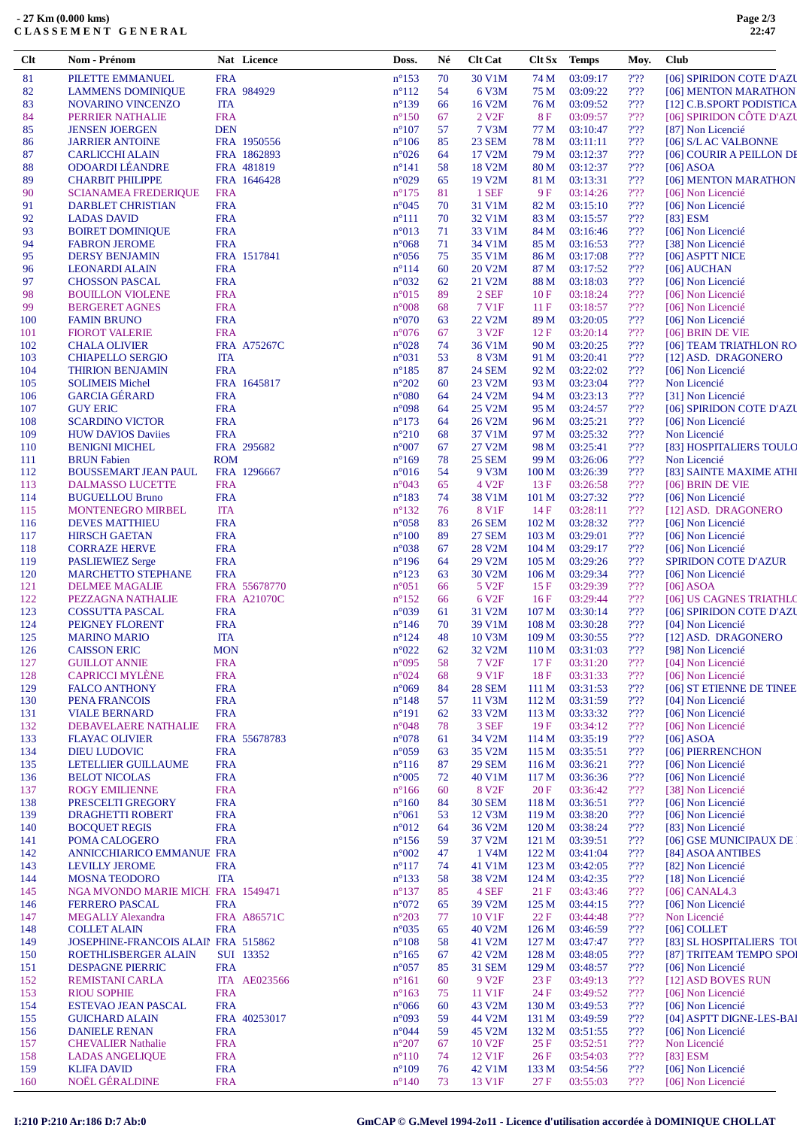| Clt        | Nom - Prénom                                   |                          | Nat Licence         | Doss.                             | Né       | <b>Clt Cat</b>      | Clt Sx                               | <b>Temps</b>         | Moy.            | <b>Club</b>                                         |
|------------|------------------------------------------------|--------------------------|---------------------|-----------------------------------|----------|---------------------|--------------------------------------|----------------------|-----------------|-----------------------------------------------------|
| 81         | PILETTE EMMANUEL                               | <b>FRA</b>               |                     | $n^{\circ}153$                    | 70       | 30 V1M              | 74 M                                 | 03:09:17             | 2.32            | [06] SPIRIDON COTE D'AZU                            |
| 82         | <b>LAMMENS DOMINIQUE</b>                       |                          | FRA 984929          | $n^{\circ}112$                    | 54       | 6 V3M               | 75 M                                 | 03:09:22             | 2.32            | [06] MENTON MARATHON                                |
| 83         | NOVARINO VINCENZO                              | <b>ITA</b>               |                     | $n^{\circ}139$                    | 66       | 16 V2M              | 76 M                                 | 03:09:52             | $2'$ ?          | [12] C.B.SPORT PODISTICA                            |
| 84         | PERRIER NATHALIE                               | <b>FRA</b>               |                     | $n^{\circ}150$                    | 67       | 2 V <sub>2F</sub>   | 8F                                   | 03:09:57             | 2.32            | [06] SPIRIDON CÔTE D'AZU                            |
| 85         | <b>JENSEN JOERGEN</b>                          | <b>DEN</b>               |                     | $n^{\circ}107$                    | 57       | 7 V3M               | 77 M                                 | 03:10:47             | $2'$ ?          | [87] Non Licencié                                   |
| 86         | <b>JARRIER ANTOINE</b>                         |                          | FRA 1950556         | $n^{\circ}106$                    | 85       | <b>23 SEM</b>       | 78 M                                 | 03:11:11             | 2.32            | [06] S/L AC VALBONNE                                |
| 87         | <b>CARLICCHI ALAIN</b>                         |                          | FRA 1862893         | $n^{\circ}026$                    | 64       | 17 V2M              | 79 M                                 | 03:12:37             | 2'22            | [06] COURIR A PEILLON DE                            |
| 88         | <b>ODOARDI LÉANDRE</b>                         |                          | FRA 481819          | $n^{\circ}141$                    | 58       | 18 V2M              | 80 M                                 | 03:12:37             | $2'$ ?          | $[06]$ ASOA                                         |
| 89         | <b>CHARBIT PHILIPPE</b>                        |                          | FRA 1646428         | $n^{\circ}029$                    | 65       | 19 V2M              | 81 M                                 | 03:13:31             | 2.32            | [06] MENTON MARATHON                                |
| 90         | <b>SCIANAMEA FREDERIQUE</b>                    | <b>FRA</b>               |                     | $n^{\circ}175$                    | 81       | 1 SEF               | 9 F                                  | 03:14:26             | 2'22            | [06] Non Licencié                                   |
| 91         | <b>DARBLET CHRISTIAN</b>                       | <b>FRA</b>               |                     | $n^{\circ}045$                    | 70       | 31 V1M              | 82 M                                 | 03:15:10             | 2.32            | [06] Non Licencié                                   |
| 92         | <b>LADAS DAVID</b>                             | <b>FRA</b>               |                     | $n^{\circ}111$                    | 70       | 32 V1M              | 83 M                                 | 03:15:57             | $2'$ ?          | $[83]$ ESM                                          |
| 93         | <b>BOIRET DOMINIQUE</b>                        | <b>FRA</b>               |                     | $n^{\circ}013$                    | 71       | 33 V1M              | 84 M                                 | 03:16:46             | 2.32            | [06] Non Licencié                                   |
| 94         | <b>FABRON JEROME</b>                           | <b>FRA</b>               |                     | $n^{\circ}068$                    | 71       | 34 V1M              | 85 M                                 | 03:16:53             | 2.32            | [38] Non Licencié                                   |
| 95         | <b>DERSY BENJAMIN</b><br><b>LEONARDI ALAIN</b> | <b>FRA</b>               | FRA 1517841         | $n^{\circ}056$<br>$n^{\circ}114$  | 75<br>60 | 35 V1M<br>20 V2M    | 86 M<br>87 M                         | 03:17:08<br>03:17:52 | $2'$ ??<br>2.32 | [06] ASPTT NICE<br>[06] AUCHAN                      |
| 96<br>97   | <b>CHOSSON PASCAL</b>                          | <b>FRA</b>               |                     | $n^{\circ}032$                    | 62       | 21 V2M              | 88 M                                 | 03:18:03             | $2'$ ?          | [06] Non Licencié                                   |
| 98         | <b>BOUILLON VIOLENE</b>                        | <b>FRA</b>               |                     | $n^{\circ}015$                    | 89       | 2 SEF               | 10F                                  | 03:18:24             | 2.32            | [06] Non Licencié                                   |
| 99         | <b>BERGERET AGNES</b>                          | <b>FRA</b>               |                     | $n^{\circ}008$                    | 68       | 7 V1F               | 11F                                  | 03:18:57             | $2'$ ?          | [06] Non Licencié                                   |
| 100        | <b>FAMIN BRUNO</b>                             | <b>FRA</b>               |                     | $n^{\circ}070$                    | 63       | 22 V2M              | 89 M                                 | 03:20:05             | $2'$ ?          | [06] Non Licencié                                   |
| 101        | <b>FIOROT VALERIE</b>                          | <b>FRA</b>               |                     | $n^{\circ}076$                    | 67       | 3 V <sub>2F</sub>   | 12F                                  | 03:20:14             | 2.32            | [06] BRIN DE VIE                                    |
| 102        | <b>CHALA OLIVIER</b>                           |                          | <b>FRA A75267C</b>  | $n^{\circ}028$                    | 74       | 36 V1M              | 90 M                                 | 03:20:25             | 2.32            | [06] TEAM TRIATHLON RO                              |
| 103        | <b>CHIAPELLO SERGIO</b>                        | <b>ITA</b>               |                     | $n^{\circ}031$                    | 53       | 8 V3M               | 91 M                                 | 03:20:41             | 2.32            | [12] ASD. DRAGONERO                                 |
| 104        | <b>THIRION BENJAMIN</b>                        | <b>FRA</b>               |                     | $n^{\circ}185$                    | 87       | <b>24 SEM</b>       | 92 M                                 | 03:22:02             | $2'$ ??         | [06] Non Licencié                                   |
| 105        | <b>SOLIMEIS Michel</b>                         |                          | FRA 1645817         | $n^{\circ}202$                    | 60       | 23 V2M              | 93 M                                 | 03:23:04             | 2.32            | Non Licencié                                        |
| 106        | <b>GARCIA GÉRARD</b>                           | <b>FRA</b>               |                     | $n^{\circ}080$                    | 64       | 24 V2M              | 94 M                                 | 03:23:13             | $2'$ ?          | [31] Non Licencié                                   |
| 107        | <b>GUY ERIC</b>                                | <b>FRA</b>               |                     | n°098                             | 64       | 25 V2M              | 95 M                                 | 03:24:57             | $2'$ ?          | [06] SPIRIDON COTE D'AZU                            |
| 108        | <b>SCARDINO VICTOR</b>                         | <b>FRA</b>               |                     | $n^{\circ}173$                    | 64       | 26 V2M              | 96 M                                 | 03:25:21             | 2.32            | [06] Non Licencié                                   |
| 109        | <b>HUW DAVIOS Daviies</b>                      | <b>FRA</b>               |                     | $n^{\circ}210$                    | 68       | 37 V1M              | 97 M                                 | 03:25:32             | $2'$ ?          | Non Licencié                                        |
| 110        | <b>BENIGNI MICHEL</b>                          |                          | FRA 295682          | $n^{\circ}007$                    | 67       | 27 V2M              | 98 M                                 | 03:25:41             | 2.32            | [83] HOSPITALIERS TOULO                             |
| 111        | <b>BRUN</b> Fabien                             | <b>ROM</b>               |                     | $n^{\circ}169$                    | 78       | <b>25 SEM</b>       | 99 M                                 | 03:26:06             | $2'$ ?          | Non Licencié                                        |
| 112        | <b>BOUSSEMART JEAN PAUL</b>                    |                          | FRA 1296667         | $n^{\circ}016$                    | 54       | 9 V3M               | 100 M                                | 03:26:39             | $2'$ ?          | [83] SAINTE MAXIME ATHI                             |
| 113        | DALMASSO LUCETTE                               | <b>FRA</b>               |                     | $n^{\circ}043$                    | 65       | 4 V <sub>2F</sub>   | 13F                                  | 03:26:58             | 2.32            | [06] BRIN DE VIE                                    |
| 114        | <b>BUGUELLOU Bruno</b>                         | <b>FRA</b>               |                     | $n^{\circ}183$                    | 74       | 38 V1M              | 101 <sub>M</sub>                     | 03:27:32             | $2'$ ?          | [06] Non Licencié                                   |
| 115        | <b>MONTENEGRO MIRBEL</b>                       | <b>ITA</b>               |                     | $n^{\circ}132$                    | 76       | <b>8 V1F</b>        | 14F                                  | 03:28:11             | 2.32            | [12] ASD. DRAGONERO                                 |
| 116        | <b>DEVES MATTHIEU</b>                          | <b>FRA</b>               |                     | $n^{\circ}058$                    | 83       | <b>26 SEM</b>       | 102 <sub>M</sub>                     | 03:28:32             | $2'$ ?          | [06] Non Licencié                                   |
| 117        | <b>HIRSCH GAETAN</b>                           | <b>FRA</b>               |                     | $n^{\circ}100$                    | 89       | <b>27 SEM</b>       | 103 <sub>M</sub>                     | 03:29:01             | 2.32            | [06] Non Licencié                                   |
| 118        | <b>CORRAZE HERVE</b>                           | <b>FRA</b>               |                     | n°038                             | 67       | 28 V2M              | 104 M                                | 03:29:17             | $2'$ ?          | [06] Non Licencié                                   |
| 119        | <b>PASLIEWIEZ Serge</b>                        | <b>FRA</b>               |                     | $n^{\circ}196$                    | 64       | 29 V2M              | 105 M                                | 03:29:26             | $2'$ ?          | <b>SPIRIDON COTE D'AZUR</b>                         |
| 120        | <b>MARCHETTO STEPHANE</b>                      | <b>FRA</b>               |                     | $n^{\circ}123$                    | 63       | 30 V2M              | 106 <sub>M</sub>                     | 03:29:34             | 2.32            | [06] Non Licencié                                   |
| 121        | <b>DELMEE MAGALIE</b>                          |                          | FRA 55678770        | $n^{\circ}051$                    | 66       | 5 V <sub>2F</sub>   | 15 F                                 | 03:29:39             | 2'22            | $[06]$ ASOA                                         |
| 122        | PEZZAGNA NATHALIE                              |                          | FRA A21070C         | $n^{\circ}152$                    | 66       | 6 V <sub>2F</sub>   | 16F                                  | 03:29:44             | 2.32<br>$2'$ ?  | [06] US CAGNES TRIATHLO<br>[06] SPIRIDON COTE D'AZU |
| 123<br>124 | COSSUTTA PASCAL<br>PEIGNEY FLORENT             | <b>FRA</b><br><b>FRA</b> |                     | $n^{\circ}039$<br>$n^{\circ}$ 146 | 61<br>70 | 31 V2M<br>39 V1M    | 107 <sub>M</sub><br>108 <sub>M</sub> | 03:30:14<br>03:30:28 | 2.32            | [04] Non Licencié                                   |
| 125        | <b>MARINO MARIO</b>                            | <b>ITA</b>               |                     | $n^{\circ}124$                    | 48       | 10 V3M              | 109 <sub>M</sub>                     | 03:30:55             | 2.32            | [12] ASD. DRAGONERO                                 |
| 126        | <b>CAISSON ERIC</b>                            | <b>MON</b>               |                     | $n^{\circ}022$                    | 62       | 32 V2M              | 110 <sub>M</sub>                     | 03:31:03             | 2.32            | [98] Non Licencié                                   |
| 127        | <b>GUILLOT ANNIE</b>                           | <b>FRA</b>               |                     | $n^{\circ}095$                    | 58       | 7 V <sub>2F</sub>   | 17F                                  | 03:31:20             | $2'$ ?          | [04] Non Licencié                                   |
| 128        | <b>CAPRICCI MYLÈNE</b>                         | <b>FRA</b>               |                     | $n^{\circ}024$                    | 68       | 9 V1F               | 18F                                  | 03:31:33             | 2'22            | [06] Non Licencié                                   |
| 129        | <b>FALCO ANTHONY</b>                           | <b>FRA</b>               |                     | $n^{\circ}069$                    | 84       | <b>28 SEM</b>       | 111 M                                | 03:31:53             | 2.32            | [06] ST ETIENNE DE TINEE                            |
| 130        | PENA FRANCOIS                                  | <b>FRA</b>               |                     | $n^{\circ}148$                    | 57       | 11 V3M              | 112 M                                | 03:31:59             | 2'22            | [04] Non Licencié                                   |
| 131        | <b>VIALE BERNARD</b>                           | <b>FRA</b>               |                     | $n^{\circ}191$                    | 62       | 33 V2M              | 113 M                                | 03:33:32             | $2'$ ?          | [06] Non Licencié                                   |
| 132        | DEBAVELAERE NATHALIE                           | <b>FRA</b>               |                     | $n^{\circ}048$                    | 78       | 3 SEF               | 19F                                  | 03:34:12             | 2.32            | [06] Non Licencié                                   |
| 133        | <b>FLAYAC OLIVIER</b>                          |                          | FRA 55678783        | $n^{\circ}078$                    | 61       | 34 V2M              | 114 M                                | 03:35:19             | 2.32            | $[06]$ ASOA                                         |
| 134        | <b>DIEU LUDOVIC</b>                            | <b>FRA</b>               |                     | $n^{\circ}059$                    | 63       | 35 V2M              | 115 M                                | 03:35:51             | 2.32            | [06] PIERRENCHON                                    |
| 135        | LETELLIER GUILLAUME                            | <b>FRA</b>               |                     | $n^{\circ}116$                    | 87       | <b>29 SEM</b>       | 116M                                 | 03:36:21             | $2'$ ?          | [06] Non Licencié                                   |
| 136        | <b>BELOT NICOLAS</b>                           | <b>FRA</b>               |                     | $n^{\circ}005$                    | 72       | 40 V1M              | 117 M                                | 03:36:36             | 2.32            | [06] Non Licencié                                   |
| 137        | <b>ROGY EMILIENNE</b>                          | <b>FRA</b>               |                     | $n^{\circ}166$                    | 60       | 8 V <sub>2F</sub>   | 20 F                                 | 03:36:42             | $2'$ ?          | [38] Non Licencié                                   |
| 138        | PRESCELTI GREGORY                              | <b>FRA</b>               |                     | $n^{\circ}160$                    | 84       | <b>30 SEM</b>       | 118 M                                | 03:36:51             | $2'$ ?          | [06] Non Licencié                                   |
| 139        | <b>DRAGHETTI ROBERT</b>                        | <b>FRA</b>               |                     | $n^{\circ}061$                    | 53       | 12 V3M              | 119 M                                | 03:38:20             | 2.32            | [06] Non Licencié                                   |
| 140        | <b>BOCQUET REGIS</b>                           | <b>FRA</b>               |                     | $n^{\circ}012$                    | 64       | 36 V2M              | 120 M                                | 03:38:24             | $2'$ ?          | [83] Non Licencié                                   |
| 141        | POMA CALOGERO                                  | <b>FRA</b>               |                     | $n^{\circ}156$                    | 59       | 37 V2M              | 121 M                                | 03:39:51             | 2.32            | [06] GSE MUNICIPAUX DE                              |
| 142        | ANNICCHIARICO EMMANUE FRA                      |                          |                     | $n^{\circ}002$                    | 47       | 1 V4M               | 122 M                                | 03:41:04             | $2'$ ?          | [84] ASOA ANTIBES                                   |
| 143        | <b>LEVILLY JEROME</b>                          | <b>FRA</b>               |                     | $n^{\circ}117$                    | 74       | 41 V1M              | 123 M                                | 03:42:05             | 2.32            | [82] Non Licencié                                   |
| 144        | <b>MOSNA TEODORO</b>                           | <b>ITA</b>               |                     | $n^{\circ}133$                    | 58       | 38 V <sub>2</sub> M | 124M                                 | 03:42:35             | 2.32            | [18] Non Licencié                                   |
| 145        | NGA MVONDO MARIE MICH FRA 1549471              |                          |                     | $n^{\circ}137$                    | 85       | 4 SEF               | 21 F                                 | 03:43:46             | $2'$ ?          | $[06]$ CANAL4.3                                     |
| 146        | <b>FERRERO PASCAL</b>                          | <b>FRA</b>               |                     | $n^{\circ}072$                    | 65       | 39 V2M              | 125 <sub>M</sub>                     | 03:44:15             | 2.32            | [06] Non Licencié                                   |
| 147        | <b>MEGALLY Alexandra</b>                       |                          | FRA A86571C         | $n^{\circ}203$                    | 77       | 10 V1F              | 22 F                                 | 03:44:48             | 2'22            | Non Licencié                                        |
| 148        | <b>COLLET ALAIN</b>                            | <b>FRA</b>               |                     | $n^{\circ}035$                    | 65       | 40 V2M              | 126 <sub>M</sub>                     | 03:46:59             | 2.32            | $[06]$ COLLET                                       |
| 149        | JOSEPHINE-FRANCOIS ALAIN FRA 515862            |                          |                     | $n^{\circ}108$                    | 58       | 41 V2M              | 127 <sub>M</sub>                     | 03:47:47             | 2'              | [83] SL HOSPITALIERS TOU                            |
| 150        | ROETHLISBERGER ALAIN                           |                          | SUI 13352           | $n^{\circ}165$                    | 67       | 42 V2M              | 128 M                                | 03:48:05             | $2'$ ?          | [87] TRITEAM TEMPO SPOI                             |
| 151        | <b>DESPAGNE PIERRIC</b>                        | <b>FRA</b>               |                     | $n^{\circ}057$                    | 85       | <b>31 SEM</b>       | 129 <sub>M</sub>                     | 03:48:57             | 2.32            | [06] Non Licencié                                   |
| 152        | REMISTANI CARLA                                |                          | <b>ITA AE023566</b> | $n^{\circ}161$                    | 60       | 9 V <sub>2F</sub>   | 23 F                                 | 03:49:13             | 2.32            | [12] ASD BOVES RUN                                  |
| 153        | <b>RIOU SOPHIE</b>                             | <b>FRA</b>               |                     | $n^{\circ}163$                    | 75       | 11 V1F              | 24 F                                 | 03:49:52             | 2.32            | [06] Non Licencié                                   |
| 154        | ESTEVAO JEAN PASCAL                            | <b>FRA</b>               |                     | $n^{\circ}066$                    | 60       | 43 V2M              | 130 <sub>M</sub>                     | 03:49:53             | $2'$ ?          | [06] Non Licencié                                   |
| 155        | <b>GUICHARD ALAIN</b>                          |                          | FRA 40253017        | n°093                             | 59       | 44 V2M              | 131 M                                | 03:49:59             | 2'22            | [04] ASPTT DIGNE-LES-BAI                            |
| 156        | <b>DANIELE RENAN</b>                           | <b>FRA</b>               |                     | $n^{\circ}044$                    | 59       | 45 V2M              | 132 M                                | 03:51:55             | 2.32            | [06] Non Licencié                                   |
| 157        | <b>CHEVALIER Nathalie</b>                      | <b>FRA</b>               |                     | $n^{\circ}207$                    | 67       | 10 V <sub>2F</sub>  | 25 F                                 | 03:52:51             | $2'$ ?          | Non Licencié                                        |
| 158<br>159 | <b>LADAS ANGELIQUE</b><br><b>KLIFA DAVID</b>   | <b>FRA</b><br><b>FRA</b> |                     | $n^{\circ}110$<br>$n^{\circ}109$  | 74<br>76 | 12 V1F<br>42 V1M    | 26F<br>133 M                         | 03:54:03<br>03:54:56 | 2.32<br>$2'$ ?  | $[83]$ ESM<br>[06] Non Licencié                     |
| 160        | NOËL GÉRALDINE                                 | <b>FRA</b>               |                     | $n^{\circ}140$                    | 73       | 13 V1F              | 27 F                                 | 03:55:03             | 2.32            | [06] Non Licencié                                   |
|            |                                                |                          |                     |                                   |          |                     |                                      |                      |                 |                                                     |